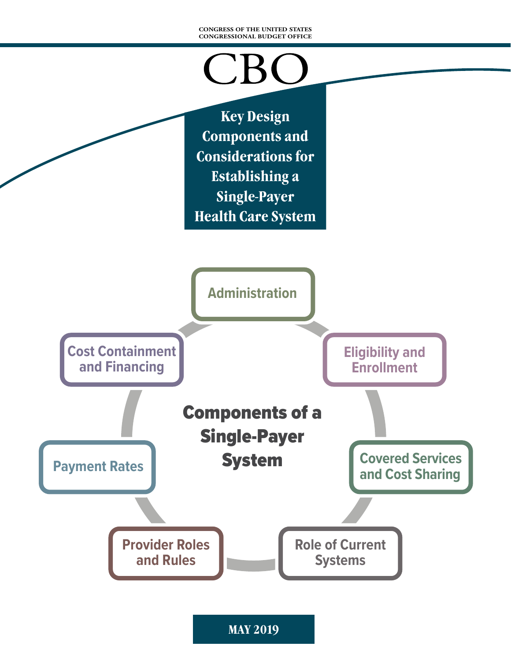#### **CONGRESS OF THE UNITED STATES CONGRESSIONAL BUDGET OFFICE**

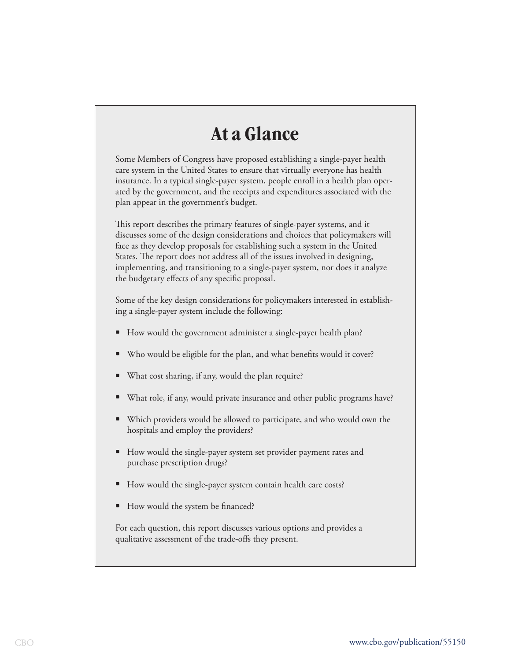# **At a Glance**

Some Members of Congress have proposed establishing a single-payer health care system in the United States to ensure that virtually everyone has health insurance. In a typical single-payer system, people enroll in a health plan operated by the government, and the receipts and expenditures associated with the plan appear in the government's budget.

This report describes the primary features of single-payer systems, and it discusses some of the design considerations and choices that policymakers will face as they develop proposals for establishing such a system in the United States. The report does not address all of the issues involved in designing, implementing, and transitioning to a single-payer system, nor does it analyze the budgetary effects of any specific proposal.

Some of the key design considerations for policymakers interested in establishing a single-payer system include the following:

- How would the government administer a single-payer health plan?
- Who would be eligible for the plan, and what benefits would it cover?
- What cost sharing, if any, would the plan require?
- What role, if any, would private insurance and other public programs have?
- Which providers would be allowed to participate, and who would own the hospitals and employ the providers?
- How would the single-payer system set provider payment rates and purchase prescription drugs?
- How would the single-payer system contain health care costs?
- How would the system be financed?

For each question, this report discusses various options and provides a qualitative assessment of the trade-offs they present.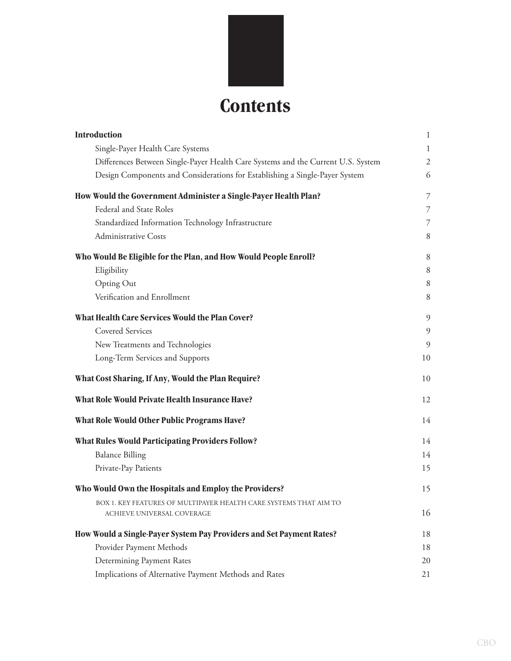

|                                                                                                 | 1  |
|-------------------------------------------------------------------------------------------------|----|
| Single-Payer Health Care Systems                                                                | 1  |
| Differences Between Single-Payer Health Care Systems and the Current U.S. System                | 2  |
| Design Components and Considerations for Establishing a Single-Payer System                     | 6  |
| How Would the Government Administer a Single-Payer Health Plan?                                 | 7  |
| Federal and State Roles                                                                         | 7  |
| Standardized Information Technology Infrastructure                                              | 7  |
| <b>Administrative Costs</b>                                                                     | 8  |
| Who Would Be Eligible for the Plan, and How Would People Enroll?                                | 8  |
| Eligibility                                                                                     | 8  |
| Opting Out                                                                                      | 8  |
| Verification and Enrollment                                                                     | 8  |
| What Health Care Services Would the Plan Cover?                                                 | 9  |
| <b>Covered Services</b>                                                                         | 9  |
| New Treatments and Technologies                                                                 | 9  |
| Long-Term Services and Supports                                                                 | 10 |
| What Cost Sharing, If Any, Would the Plan Require?                                              |    |
|                                                                                                 | 10 |
| What Role Would Private Health Insurance Have?                                                  | 12 |
| What Role Would Other Public Programs Have?                                                     | 14 |
| What Rules Would Participating Providers Follow?                                                | 14 |
| <b>Balance Billing</b>                                                                          | 14 |
| Private-Pay Patients                                                                            | 15 |
| Who Would Own the Hospitals and Employ the Providers?                                           | 15 |
| BOX 1. KEY FEATURES OF MULTIPAYER HEALTH CARE SYSTEMS THAT AIM TO<br>ACHIEVE UNIVERSAL COVERAGE | 16 |
| How Would a Single-Payer System Pay Providers and Set Payment Rates?                            | 18 |
| Provider Payment Methods                                                                        | 18 |
| Determining Payment Rates                                                                       | 20 |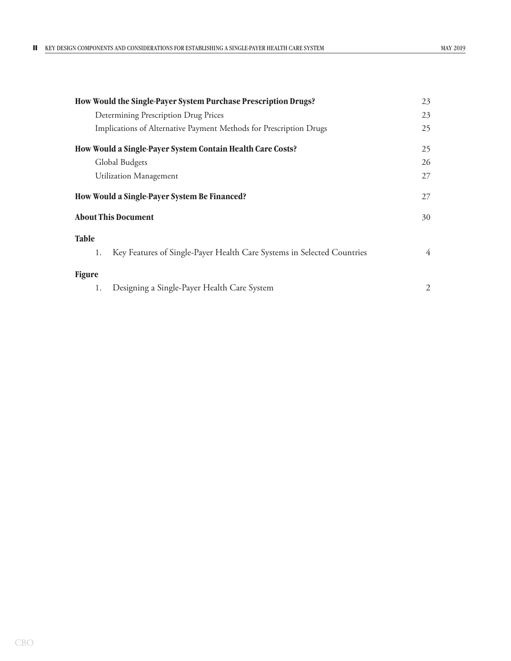|                                              | How Would the Single-Payer System Purchase Prescription Drugs?         | 23 |  |
|----------------------------------------------|------------------------------------------------------------------------|----|--|
|                                              | Determining Prescription Drug Prices                                   | 23 |  |
|                                              | Implications of Alternative Payment Methods for Prescription Drugs     | 25 |  |
|                                              | How Would a Single-Payer System Contain Health Care Costs?             | 25 |  |
|                                              | Global Budgets                                                         | 26 |  |
|                                              | <b>Utilization Management</b>                                          | 27 |  |
| How Would a Single-Payer System Be Financed? |                                                                        |    |  |
|                                              | <b>About This Document</b>                                             | 30 |  |
| <b>Table</b>                                 |                                                                        |    |  |
| 1.                                           | Key Features of Single-Payer Health Care Systems in Selected Countries | 4  |  |
| <b>Figure</b>                                |                                                                        |    |  |
| 1.                                           | Designing a Single-Payer Health Care System                            | 2  |  |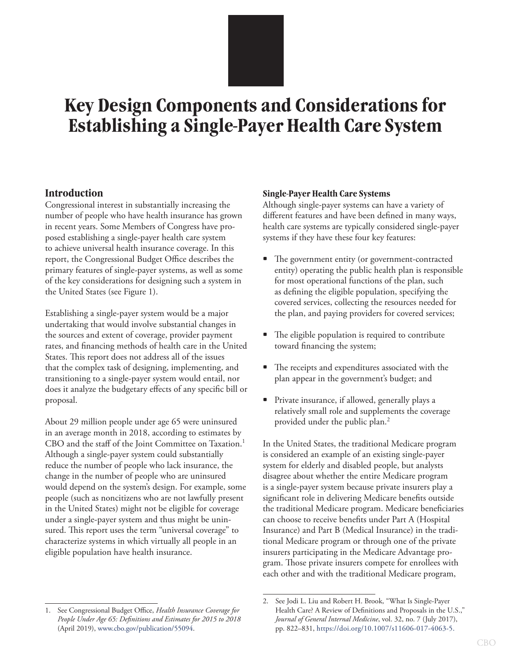# <span id="page-4-0"></span>**Key Design Components and Considerations for Establishing a Single-Payer Health Care System**

# **Introduction**

Congressional interest in substantially increasing the number of people who have health insurance has grown in recent years. Some Members of Congress have proposed establishing a single-payer health care system to achieve universal health insurance coverage. In this report, the Congressional Budget Office describes the primary features of single-payer systems, as well as some of the key considerations for designing such a system in the United States (see [Figure 1](#page-5-1)).

Establishing a single-payer system would be a major undertaking that would involve substantial changes in the sources and extent of coverage, provider payment rates, and financing methods of health care in the United States. This report does not address all of the issues that the complex task of designing, implementing, and transitioning to a single-payer system would entail, nor does it analyze the budgetary effects of any specific bill or proposal.

About 29 million people under age 65 were uninsured in an average month in 2018, according to estimates by CBO and the staff of the Joint Committee on Taxation.<sup>1</sup> Although a single-payer system could substantially reduce the number of people who lack insurance, the change in the number of people who are uninsured would depend on the system's design. For example, some people (such as noncitizens who are not lawfully present in the United States) might not be eligible for coverage under a single-payer system and thus might be uninsured. This report uses the term "universal coverage" to characterize systems in which virtually all people in an eligible population have health insurance.

#### **Single-Payer Health Care Systems**

Although single-payer systems can have a variety of different features and have been defined in many ways, health care systems are typically considered single-payer systems if they have these four key features:

- The government entity (or government-contracted entity) operating the public health plan is responsible for most operational functions of the plan, such as defining the eligible population, specifying the covered services, collecting the resources needed for the plan, and paying providers for covered services;
- The eligible population is required to contribute toward financing the system;
- The receipts and expenditures associated with the plan appear in the government's budget; and
- Private insurance, if allowed, generally plays a relatively small role and supplements the coverage provided under the public plan.2

In the United States, the traditional Medicare program is considered an example of an existing single-payer system for elderly and disabled people, but analysts disagree about whether the entire Medicare program is a single-payer system because private insurers play a significant role in delivering Medicare benefits outside the traditional Medicare program. Medicare beneficiaries can choose to receive benefits under Part A (Hospital Insurance) and Part B (Medical Insurance) in the traditional Medicare program or through one of the private insurers participating in the Medicare Advantage program. Those private insurers compete for enrollees with each other and with the traditional Medicare program,

<sup>1.</sup> See Congressional Budget Office, *Health Insurance Coverage for People Under Age 65: Definitions and Estimates for 2015 to 2018*  (April 2019), [www.cbo.gov/publication/5](http://www.cbo.gov/publication/55094)5094.

<sup>2.</sup> See Jodi L. Liu and Robert H. Brook, "What Is Single-Payer Health Care? A Review of Definitions and Proposals in the U.S.," *Journal of General Internal Medicine*, vol. 32, no. 7 (July 2017), pp. 822–831, [https://doi.org/10.1007/s11606-017-4063-5.](https://doi.org/10.1007/s11606-017-4063-5)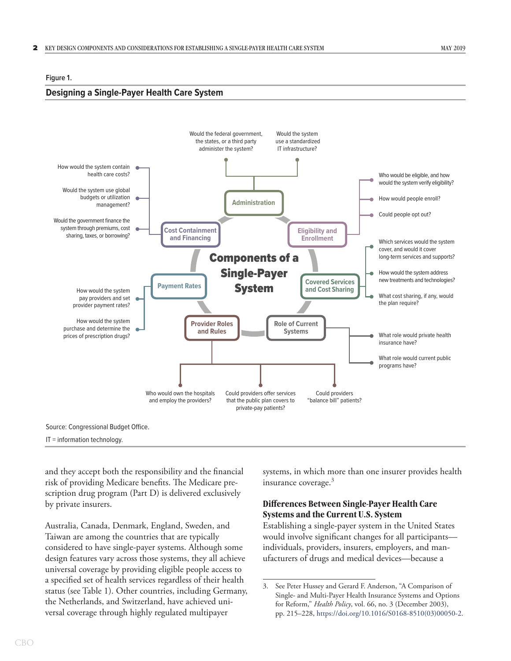#### <span id="page-5-1"></span><span id="page-5-0"></span>**Figure 1.**

#### **Designing a Single-Payer Health Care System**



IT = information technology.

and they accept both the responsibility and the financial risk of providing Medicare benefits. The Medicare prescription drug program (Part D) is delivered exclusively by private insurers.

Australia, Canada, Denmark, England, Sweden, and Taiwan are among the countries that are typically considered to have single-payer systems. Although some design features vary across those systems, they all achieve universal coverage by providing eligible people access to a specified set of health services regardless of their health status (see [Table 1](#page-7-1)). Other countries, including Germany, the Netherlands, and Switzerland, have achieved universal coverage through highly regulated multipayer

systems, in which more than one insurer provides health insurance coverage. $3$ 

#### **Differences Between Single-Payer Health Care Systems and the Current U.S. System**

Establishing a single-payer system in the United States would involve significant changes for all participants individuals, providers, insurers, employers, and manufacturers of drugs and medical devices—because a

<sup>3.</sup> See Peter Hussey and Gerard F. Anderson, "A Comparison of Single- and Multi-Payer Health Insurance Systems and Options for Reform," *Health Policy*, vol. 66, no. 3 (December 2003), pp. 215–228, [https://doi.org/10.1016/S0168-8510\(03\)00050-2](https://doi.org/10.1016/S0168-8510(03)00050-2).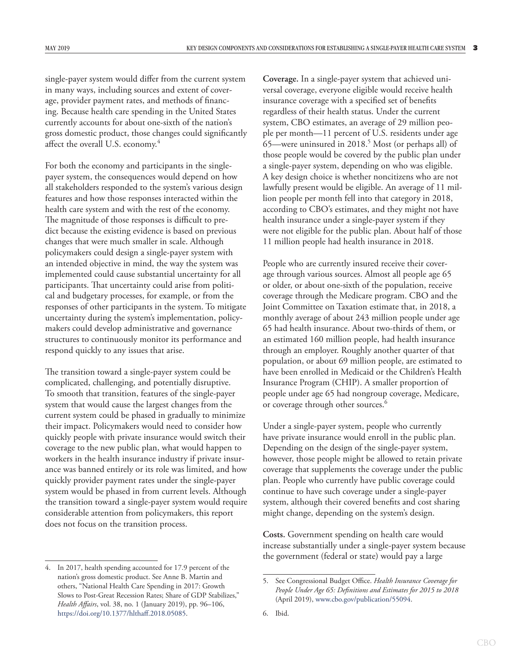single-payer system would differ from the current system in many ways, including sources and extent of coverage, provider payment rates, and methods of financing. Because health care spending in the United States currently accounts for about one-sixth of the nation's gross domestic product, those changes could significantly affect the overall U.S. economy.4

For both the economy and participants in the singlepayer system, the consequences would depend on how all stakeholders responded to the system's various design features and how those responses interacted within the health care system and with the rest of the economy. The magnitude of those responses is difficult to predict because the existing evidence is based on previous changes that were much smaller in scale. Although policymakers could design a single-payer system with an intended objective in mind, the way the system was implemented could cause substantial uncertainty for all participants. That uncertainty could arise from political and budgetary processes, for example, or from the responses of other participants in the system. To mitigate uncertainty during the system's implementation, policymakers could develop administrative and governance structures to continuously monitor its performance and respond quickly to any issues that arise.

The transition toward a single-payer system could be complicated, challenging, and potentially disruptive. To smooth that transition, features of the single-payer system that would cause the largest changes from the current system could be phased in gradually to minimize their impact. Policymakers would need to consider how quickly people with private insurance would switch their coverage to the new public plan, what would happen to workers in the health insurance industry if private insurance was banned entirely or its role was limited, and how quickly provider payment rates under the single-payer system would be phased in from current levels. Although the transition toward a single-payer system would require considerable attention from policymakers, this report does not focus on the transition process.

**Coverage.** In a single-payer system that achieved universal coverage, everyone eligible would receive health insurance coverage with a specified set of benefits regardless of their health status. Under the current system, CBO estimates, an average of 29 million people per month—11 percent of U.S. residents under age 65—were uninsured in 2018.<sup>5</sup> Most (or perhaps all) of those people would be covered by the public plan under a single-payer system, depending on who was eligible. A key design choice is whether noncitizens who are not lawfully present would be eligible. An average of 11 million people per month fell into that category in 2018, according to CBO's estimates, and they might not have health insurance under a single-payer system if they were not eligible for the public plan. About half of those 11 million people had health insurance in 2018.

People who are currently insured receive their coverage through various sources. Almost all people age 65 or older, or about one-sixth of the population, receive coverage through the Medicare program. CBO and the Joint Committee on Taxation estimate that, in 2018, a monthly average of about 243 million people under age 65 had health insurance. About two-thirds of them, or an estimated 160 million people, had health insurance through an employer. Roughly another quarter of that population, or about 69 million people, are estimated to have been enrolled in Medicaid or the Children's Health Insurance Program (CHIP). A smaller proportion of people under age 65 had nongroup coverage, Medicare, or coverage through other sources.<sup>6</sup>

Under a single-payer system, people who currently have private insurance would enroll in the public plan. Depending on the design of the single-payer system, however, those people might be allowed to retain private coverage that supplements the coverage under the public plan. People who currently have public coverage could continue to have such coverage under a single-payer system, although their covered benefits and cost sharing might change, depending on the system's design.

**Costs.** Government spending on health care would increase substantially under a single-payer system because the government (federal or state) would pay a large

<sup>4.</sup> In 2017, health spending accounted for 17.9 percent of the nation's gross domestic product. See Anne B. Martin and others, "National Health Care Spending in 2017: Growth Slows to Post-Great Recession Rates; Share of GDP Stabilizes," *Health Affairs*, vol. 38, no. 1 (January 2019), pp. 96–106, [https://doi.org/10.1377/hlthaff.2018.05085.](https://doi.org/10.1377/hlthaff.2018.05085)

<sup>5.</sup> See Congressional Budget Office. *Health Insurance Coverage for People Under Age 65: Definitions and Estimates for 2015 to 2018*  (April 2019), [www.cbo.gov/publication/5](http://www.cbo.gov/publication/55094)5094.

<sup>6.</sup> Ibid.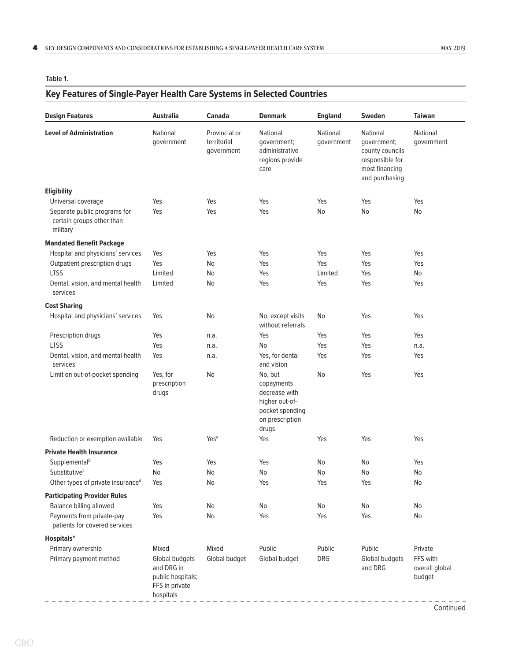<span id="page-7-1"></span><span id="page-7-0"></span>**Table 1.**

# **Key Features of Single-Payer Health Care Systems in Selected Countries**

| <b>Design Features</b>                                                | Australia                                                                                 | <b>Canada</b>                              | <b>Denmark</b>                                                                                          | <b>England</b>         | <b>Sweden</b>                                                                                     | <b>Taiwan</b>                                   |
|-----------------------------------------------------------------------|-------------------------------------------------------------------------------------------|--------------------------------------------|---------------------------------------------------------------------------------------------------------|------------------------|---------------------------------------------------------------------------------------------------|-------------------------------------------------|
| <b>Level of Administration</b>                                        | National<br>government                                                                    | Provincial or<br>territorial<br>qovernment | National<br>government;<br>administrative<br>regions provide<br>care                                    | National<br>government | National<br>government;<br>county councils<br>responsible for<br>most financing<br>and purchasing | National<br>government                          |
| Eligibility                                                           |                                                                                           |                                            |                                                                                                         |                        |                                                                                                   |                                                 |
| Universal coverage                                                    | Yes                                                                                       | Yes                                        | Yes                                                                                                     | Yes                    | Yes                                                                                               | Yes                                             |
| Separate public programs for<br>certain groups other than<br>military | Yes                                                                                       | Yes                                        | Yes                                                                                                     | No                     | No                                                                                                | No                                              |
| <b>Mandated Benefit Package</b>                                       |                                                                                           |                                            |                                                                                                         |                        |                                                                                                   |                                                 |
| Hospital and physicians' services                                     | Yes                                                                                       | Yes                                        | Yes                                                                                                     | Yes                    | Yes                                                                                               | Yes                                             |
| Outpatient prescription drugs                                         | Yes                                                                                       | No                                         | Yes                                                                                                     | Yes                    | Yes                                                                                               | Yes                                             |
| <b>LTSS</b>                                                           | Limited                                                                                   | No                                         | Yes                                                                                                     | Limited                | Yes                                                                                               | No                                              |
| Dental, vision, and mental health<br>services                         | Limited                                                                                   | No                                         | Yes                                                                                                     | Yes                    | Yes                                                                                               | Yes                                             |
| <b>Cost Sharing</b>                                                   |                                                                                           |                                            |                                                                                                         |                        |                                                                                                   |                                                 |
| Hospital and physicians' services                                     | Yes                                                                                       | No                                         | No, except visits<br>without referrals                                                                  | No                     | Yes                                                                                               | Yes                                             |
| Prescription drugs                                                    | Yes                                                                                       | n.a.                                       | Yes                                                                                                     | Yes                    | Yes                                                                                               | Yes                                             |
| <b>LTSS</b>                                                           | Yes                                                                                       | n.a.                                       | No                                                                                                      | Yes                    | Yes                                                                                               | n.a.                                            |
| Dental, vision, and mental health<br>services                         | Yes                                                                                       | n.a.                                       | Yes, for dental<br>and vision                                                                           | Yes                    | Yes                                                                                               | Yes                                             |
| Limit on out-of-pocket spending                                       | Yes, for<br>prescription<br>drugs                                                         | No                                         | No, but<br>copayments<br>decrease with<br>higher out-of-<br>pocket spending<br>on prescription<br>drugs | No                     | Yes                                                                                               | Yes                                             |
| Reduction or exemption available                                      | Yes                                                                                       | Yes <sup>a</sup>                           | Yes                                                                                                     | Yes                    | Yes                                                                                               | Yes                                             |
| <b>Private Health Insurance</b>                                       |                                                                                           |                                            |                                                                                                         |                        |                                                                                                   |                                                 |
| Supplemental <sup>b</sup>                                             | Yes                                                                                       | Yes                                        | Yes                                                                                                     | No                     | N <sub>o</sub>                                                                                    | Yes                                             |
| Substitutive <sup>c</sup>                                             | No                                                                                        | No                                         | No                                                                                                      | No                     | N <sub>o</sub>                                                                                    | No                                              |
| Other types of private insuranced                                     | Yes                                                                                       | No                                         | Yes                                                                                                     | Yes                    | Yes                                                                                               | No                                              |
| <b>Participating Provider Rules</b>                                   |                                                                                           |                                            |                                                                                                         |                        |                                                                                                   |                                                 |
| Balance billing allowed                                               | Yes                                                                                       | No                                         | No                                                                                                      | No                     | No                                                                                                | No                                              |
| Payments from private-pay<br>patients for covered services            | Yes                                                                                       | No                                         | Yes                                                                                                     | Yes                    | Yes                                                                                               | No                                              |
| <b>Hospitals<sup>e</sup></b>                                          |                                                                                           |                                            |                                                                                                         |                        |                                                                                                   |                                                 |
| Primary ownership<br>Primary payment method                           | Mixed<br>Global budgets<br>and DRG in<br>public hospitals;<br>FFS in private<br>hospitals | Mixed<br>Global budget                     | Public<br>Global budget                                                                                 | Public<br>DRG          | Public<br>Global budgets<br>and DRG                                                               | Private<br>FFS with<br>overall global<br>budget |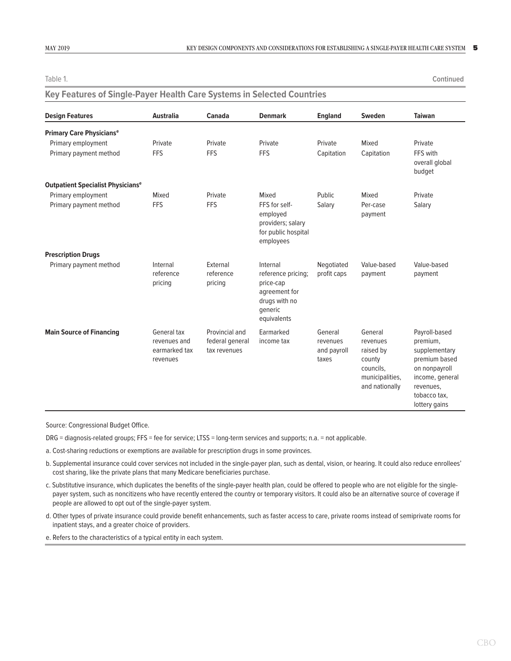Table 1. **Continued**

| <b>Design Features</b>                              | <b>Australia</b>                                         | <b>Canada</b>                                     | <b>Denmark</b>                                                                                          | <b>England</b>                              | Sweden                                                                                       | <b>Taiwan</b>                                                                                                                                 |
|-----------------------------------------------------|----------------------------------------------------------|---------------------------------------------------|---------------------------------------------------------------------------------------------------------|---------------------------------------------|----------------------------------------------------------------------------------------------|-----------------------------------------------------------------------------------------------------------------------------------------------|
| <b>Primary Care Physicianse</b>                     |                                                          |                                                   |                                                                                                         |                                             |                                                                                              |                                                                                                                                               |
| Primary employment                                  | Private                                                  | Private                                           | Private                                                                                                 | Private                                     | Mixed                                                                                        | Private                                                                                                                                       |
| Primary payment method                              | <b>FFS</b>                                               | <b>FFS</b>                                        | <b>FFS</b>                                                                                              | Capitation                                  | Capitation                                                                                   | FFS with<br>overall global<br>budget                                                                                                          |
| <b>Outpatient Specialist Physicians<sup>e</sup></b> |                                                          |                                                   |                                                                                                         |                                             |                                                                                              |                                                                                                                                               |
| Primary employment                                  | Mixed                                                    | Private                                           | Mixed                                                                                                   | Public                                      | Mixed                                                                                        | Private                                                                                                                                       |
| Primary payment method                              | <b>FFS</b>                                               | <b>FFS</b>                                        | FFS for self-<br>employed<br>providers; salary<br>for public hospital<br>employees                      | Salary                                      | Per-case<br>payment                                                                          | Salary                                                                                                                                        |
| <b>Prescription Drugs</b>                           |                                                          |                                                   |                                                                                                         |                                             |                                                                                              |                                                                                                                                               |
| Primary payment method                              | Internal<br>reference<br>pricing                         | External<br>reference<br>pricing                  | Internal<br>reference pricing;<br>price-cap<br>agreement for<br>drugs with no<br>generic<br>equivalents | Negotiated<br>profit caps                   | Value-based<br>payment                                                                       | Value-based<br>payment                                                                                                                        |
| <b>Main Source of Financing</b>                     | General tax<br>revenues and<br>earmarked tax<br>revenues | Provincial and<br>federal general<br>tax revenues | Earmarked<br>income tax                                                                                 | General<br>revenues<br>and payroll<br>taxes | General<br>revenues<br>raised by<br>county<br>councils.<br>municipalities,<br>and nationally | Payroll-based<br>premium,<br>supplementary<br>premium based<br>on nonpayroll<br>income, general<br>revenues,<br>tobacco tax,<br>lottery gains |

# **Key Features of Single-Payer Health Care Systems in Selected Countries**

Source: Congressional Budget Office.

DRG = diagnosis-related groups; FFS = fee for service; LTSS = long-term services and supports; n.a. = not applicable.

a. Cost-sharing reductions or exemptions are available for prescription drugs in some provinces.

- b. Supplemental insurance could cover services not included in the single-payer plan, such as dental, vision, or hearing. It could also reduce enrollees' cost sharing, like the private plans that many Medicare beneficiaries purchase.
- c. Substitutive insurance, which duplicates the benefits of the single-payer health plan, could be offered to people who are not eligible for the singlepayer system, such as noncitizens who have recently entered the country or temporary visitors. It could also be an alternative source of coverage if people are allowed to opt out of the single-payer system.
- d. Other types of private insurance could provide benefit enhancements, such as faster access to care, private rooms instead of semiprivate rooms for inpatient stays, and a greater choice of providers.

e. Refers to the characteristics of a typical entity in each system.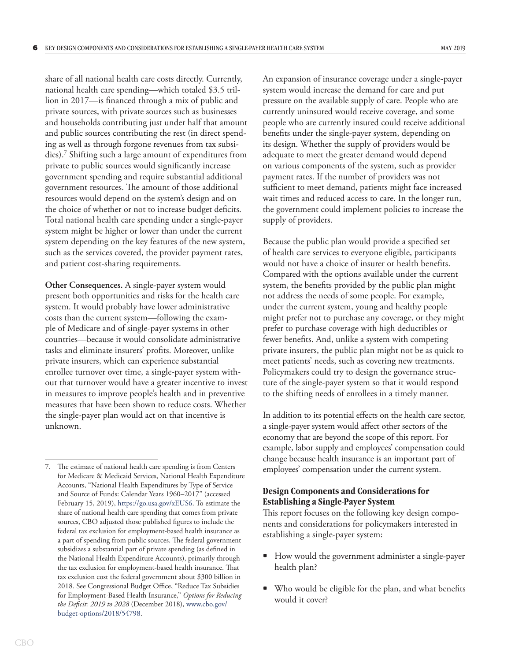<span id="page-9-0"></span>share of all national health care costs directly. Currently, national health care spending—which totaled \$3.5 trillion in 2017—is financed through a mix of public and private sources, with private sources such as businesses and households contributing just under half that amount and public sources contributing the rest (in direct spending as well as through forgone revenues from tax subsidies).7 Shifting such a large amount of expenditures from private to public sources would significantly increase government spending and require substantial additional government resources. The amount of those additional resources would depend on the system's design and on the choice of whether or not to increase budget deficits. Total national health care spending under a single-payer system might be higher or lower than under the current system depending on the key features of the new system, such as the services covered, the provider payment rates, and patient cost-sharing requirements.

**Other Consequences.** A single-payer system would present both opportunities and risks for the health care system. It would probably have lower administrative costs than the current system—following the example of Medicare and of single-payer systems in other countries—because it would consolidate administrative tasks and eliminate insurers' profits. Moreover, unlike private insurers, which can experience substantial enrollee turnover over time, a single-payer system without that turnover would have a greater incentive to invest in measures to improve people's health and in preventive measures that have been shown to reduce costs. Whether the single-payer plan would act on that incentive is unknown.

An expansion of insurance coverage under a single-payer system would increase the demand for care and put pressure on the available supply of care. People who are currently uninsured would receive coverage, and some people who are currently insured could receive additional benefits under the single-payer system, depending on its design. Whether the supply of providers would be adequate to meet the greater demand would depend on various components of the system, such as provider payment rates. If the number of providers was not sufficient to meet demand, patients might face increased wait times and reduced access to care. In the longer run, the government could implement policies to increase the supply of providers.

Because the public plan would provide a specified set of health care services to everyone eligible, participants would not have a choice of insurer or health benefits. Compared with the options available under the current system, the benefits provided by the public plan might not address the needs of some people. For example, under the current system, young and healthy people might prefer not to purchase any coverage, or they might prefer to purchase coverage with high deductibles or fewer benefits. And, unlike a system with competing private insurers, the public plan might not be as quick to meet patients' needs, such as covering new treatments. Policymakers could try to design the governance structure of the single-payer system so that it would respond to the shifting needs of enrollees in a timely manner.

In addition to its potential effects on the health care sector, a single-payer system would affect other sectors of the economy that are beyond the scope of this report. For example, labor supply and employees' compensation could change because health insurance is an important part of employees' compensation under the current system.

#### **Design Components and Considerations for Establishing a Single-Payer System**

This report focuses on the following key design components and considerations for policymakers interested in establishing a single-payer system:

- How would the government administer a single-payer health plan?
- Who would be eligible for the plan, and what benefits would it cover?

<sup>7.</sup> The estimate of national health care spending is from Centers for Medicare & Medicaid Services, National Health Expenditure Accounts, "National Health Expenditures by Type of Service and Source of Funds: Calendar Years 1960–2017" (accessed February 15, 2019), [https://go.usa.gov/xEUS6.](https://go.usa.gov/xEUS6) To estimate the share of national health care spending that comes from private sources, CBO adjusted those published figures to include the federal tax exclusion for employment-based health insurance as a part of spending from public sources. The federal government subsidizes a substantial part of private spending (as defined in the National Health Expenditure Accounts), primarily through the tax exclusion for employment-based health insurance. That tax exclusion cost the federal government about \$300 billion in 2018. See Congressional Budget Office, "Reduce Tax Subsidies for Employment-Based Health Insurance," *Options for Reducing the Deficit: 2019 to 2028* (December 2018), [www.cbo.gov/](http://www.cbo.gov/budget-options/2018/54798) [budget-options/2018/54798](http://www.cbo.gov/budget-options/2018/54798).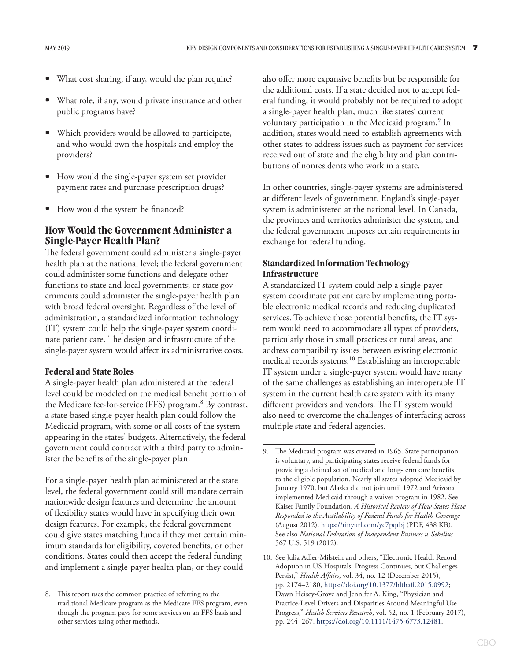- <span id="page-10-0"></span>What cost sharing, if any, would the plan require?
- What role, if any, would private insurance and other public programs have?
- Which providers would be allowed to participate, and who would own the hospitals and employ the providers?
- How would the single-payer system set provider payment rates and purchase prescription drugs?
- How would the system be financed?

# **How Would the Government Administer a Single-Payer Health Plan?**

The federal government could administer a single-payer health plan at the national level; the federal government could administer some functions and delegate other functions to state and local governments; or state governments could administer the single-payer health plan with broad federal oversight. Regardless of the level of administration, a standardized information technology (IT) system could help the single-payer system coordinate patient care. The design and infrastructure of the single-payer system would affect its administrative costs.

#### **Federal and State Roles**

A single-payer health plan administered at the federal level could be modeled on the medical benefit portion of the Medicare fee-for-service (FFS) program.<sup>8</sup> By contrast, a state-based single-payer health plan could follow the Medicaid program, with some or all costs of the system appearing in the states' budgets. Alternatively, the federal government could contract with a third party to administer the benefits of the single-payer plan.

For a single-payer health plan administered at the state level, the federal government could still mandate certain nationwide design features and determine the amount of flexibility states would have in specifying their own design features. For example, the federal government could give states matching funds if they met certain minimum standards for eligibility, covered benefits, or other conditions. States could then accept the federal funding and implement a single-payer health plan, or they could

also offer more expansive benefits but be responsible for the additional costs. If a state decided not to accept federal funding, it would probably not be required to adopt a single-payer health plan, much like states' current voluntary participation in the Medicaid program.<sup>9</sup> In addition, states would need to establish agreements with other states to address issues such as payment for services received out of state and the eligibility and plan contributions of nonresidents who work in a state.

In other countries, single-payer systems are administered at different levels of government. England's single-payer system is administered at the national level. In Canada, the provinces and territories administer the system, and the federal government imposes certain requirements in exchange for federal funding.

## **Standardized Information Technology Infrastructure**

A standardized IT system could help a single-payer system coordinate patient care by implementing portable electronic medical records and reducing duplicated services. To achieve those potential benefits, the IT system would need to accommodate all types of providers, particularly those in small practices or rural areas, and address compatibility issues between existing electronic medical records systems.10 Establishing an interoperable IT system under a single-payer system would have many of the same challenges as establishing an interoperable IT system in the current health care system with its many different providers and vendors. The IT system would also need to overcome the challenges of interfacing across multiple state and federal agencies.

<sup>8.</sup> This report uses the common practice of referring to the traditional Medicare program as the Medicare FFS program, even though the program pays for some services on an FFS basis and other services using other methods.

<sup>9.</sup> The Medicaid program was created in 1965. State participation is voluntary, and participating states receive federal funds for providing a defined set of medical and long-term care benefits to the eligible population. Nearly all states adopted Medicaid by January 1970, but Alaska did not join until 1972 and Arizona implemented Medicaid through a waiver program in 1982. See Kaiser Family Foundation, *A Historical Review of How States Have Responded to the Availability of Federal Funds for Health Coverage* (August 2012), <https://tinyurl.com/yc7pqtbj>(PDF, 438 KB). See also *National Federation of Independent Business v. Sebelius*  567 U.S. 519 (2012).

<sup>10.</sup> See Julia Adler-Milstein and others, "Electronic Health Record Adoption in US Hospitals: Progress Continues, but Challenges Persist," *Health Affairs*, vol. 34, no. 12 (December 2015), pp. 2174–2180, https://doi.org/10.1377/hlthaff.2015.0992; Dawn Heisey-Grove and Jennifer A. King, "Physician and Practice-Level Drivers and Disparities Around Meaningful Use Progress," *Health Services Research*, vol. 52, no. 1 (February 2017), pp. 244–267, [https://doi.org/10.1111/1475-6773.12481.](https://doi.org/10.1111/1475-6773.12481)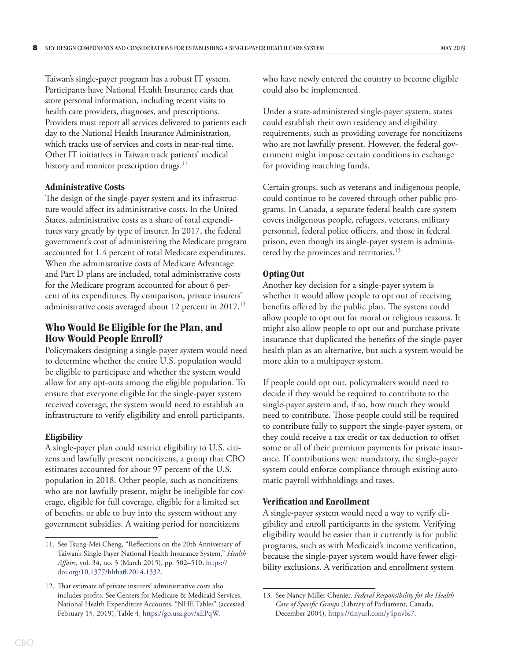<span id="page-11-0"></span>Taiwan's single-payer program has a robust IT system. Participants have National Health Insurance cards that store personal information, including recent visits to health care providers, diagnoses, and prescriptions. Providers must report all services delivered to patients each day to the National Health Insurance Administration, which tracks use of services and costs in near-real time. Other IT initiatives in Taiwan track patients' medical history and monitor prescription drugs.<sup>11</sup>

#### **Administrative Costs**

The design of the single-payer system and its infrastructure would affect its administrative costs. In the United States, administrative costs as a share of total expenditures vary greatly by type of insurer. In 2017, the federal government's cost of administering the Medicare program accounted for 1.4 percent of total Medicare expenditures. When the administrative costs of Medicare Advantage and Part D plans are included, total administrative costs for the Medicare program accounted for about 6 percent of its expenditures. By comparison, private insurers' administrative costs averaged about 12 percent in 2017.<sup>12</sup>

# **Who Would Be Eligible for the Plan, and How Would People Enroll?**

Policymakers designing a single-payer system would need to determine whether the entire U.S. population would be eligible to participate and whether the system would allow for any opt-outs among the eligible population. To ensure that everyone eligible for the single-payer system received coverage, the system would need to establish an infrastructure to verify eligibility and enroll participants.

#### **Eligibility**

A single-payer plan could restrict eligibility to U.S. citizens and lawfully present noncitizens, a group that CBO estimates accounted for about 97 percent of the U.S. population in 2018. Other people, such as noncitizens who are not lawfully present, might be ineligible for coverage, eligible for full coverage, eligible for a limited set of benefits, or able to buy into the system without any government subsidies. A waiting period for noncitizens

who have newly entered the country to become eligible could also be implemented.

Under a state-administered single-payer system, states could establish their own residency and eligibility requirements, such as providing coverage for noncitizens who are not lawfully present. However, the federal government might impose certain conditions in exchange for providing matching funds.

Certain groups, such as veterans and indigenous people, could continue to be covered through other public programs. In Canada, a separate federal health care system covers indigenous people, refugees, veterans, military personnel, federal police officers, and those in federal prison, even though its single-payer system is administered by the provinces and territories.<sup>13</sup>

#### **Opting Out**

Another key decision for a single-payer system is whether it would allow people to opt out of receiving benefits offered by the public plan. The system could allow people to opt out for moral or religious reasons. It might also allow people to opt out and purchase private insurance that duplicated the benefits of the single-payer health plan as an alternative, but such a system would be more akin to a multipayer system.

If people could opt out, policymakers would need to decide if they would be required to contribute to the single-payer system and, if so, how much they would need to contribute. Those people could still be required to contribute fully to support the single-payer system, or they could receive a tax credit or tax deduction to offset some or all of their premium payments for private insurance. If contributions were mandatory, the single-payer system could enforce compliance through existing automatic payroll withholdings and taxes.

#### **Verification and Enrollment**

A single-payer system would need a way to verify eligibility and enroll participants in the system. Verifying eligibility would be easier than it currently is for public programs, such as with Medicaid's income verification, because the single-payer system would have fewer eligibility exclusions. A verification and enrollment system

<sup>11.</sup> See Tsung-Mei Cheng, "Reflections on the 20th Anniversary of Taiwan's Single-Payer National Health Insurance System," *Health Affairs*, vol. 34, no. 3 (March 2015), pp. 502–510, [https://](https://doi.org/10.1377/hlthaff.2014.1332) [doi.org/10.1377/hlthaff.2014.1332](https://doi.org/10.1377/hlthaff.2014.1332).

<sup>12.</sup> That estimate of private insurers' administrative costs also includes profits. See Centers for Medicare & Medicaid Services, National Health Expenditure Accounts, "NHE Tables" (accessed February 15, 2019), Table 4, [https://go.usa.gov/xEPqW.](https://go.usa.gov/xEPqW)

<sup>13.</sup> See Nancy Miller Chenier, *Federal Responsibility for the Health Care of Specific Groups* (Library of Parliament, Canada, December 2004), [https://tinyurl.com/y4pnvbs7.](https://tinyurl.com/y4pnvbs7)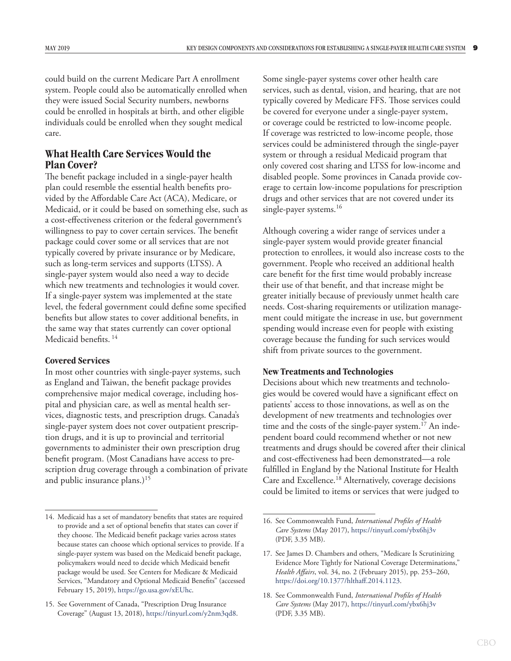<span id="page-12-0"></span>could build on the current Medicare Part A enrollment system. People could also be automatically enrolled when they were issued Social Security numbers, newborns could be enrolled in hospitals at birth, and other eligible individuals could be enrolled when they sought medical care.

# **What Health Care Services Would the Plan Cover?**

The benefit package included in a single-payer health plan could resemble the essential health benefits provided by the Affordable Care Act (ACA), Medicare, or Medicaid, or it could be based on something else, such as a cost-effectiveness criterion or the federal government's willingness to pay to cover certain services. The benefit package could cover some or all services that are not typically covered by private insurance or by Medicare, such as long-term services and supports (LTSS). A single-payer system would also need a way to decide which new treatments and technologies it would cover. If a single-payer system was implemented at the state level, the federal government could define some specified benefits but allow states to cover additional benefits, in the same way that states currently can cover optional Medicaid benefits.<sup>14</sup>

#### **Covered Services**

In most other countries with single-payer systems, such as England and Taiwan, the benefit package provides comprehensive major medical coverage, including hospital and physician care, as well as mental health services, diagnostic tests, and prescription drugs. Canada's single-payer system does not cover outpatient prescription drugs, and it is up to provincial and territorial governments to administer their own prescription drug benefit program. (Most Canadians have access to prescription drug coverage through a combination of private and public insurance plans.) $15$ 

Some single-payer systems cover other health care services, such as dental, vision, and hearing, that are not typically covered by Medicare FFS. Those services could be covered for everyone under a single-payer system, or coverage could be restricted to low-income people. If coverage was restricted to low-income people, those services could be administered through the single-payer system or through a residual Medicaid program that only covered cost sharing and LTSS for low-income and disabled people. Some provinces in Canada provide coverage to certain low-income populations for prescription drugs and other services that are not covered under its single-payer systems.<sup>16</sup>

Although covering a wider range of services under a single-payer system would provide greater financial protection to enrollees, it would also increase costs to the government. People who received an additional health care benefit for the first time would probably increase their use of that benefit, and that increase might be greater initially because of previously unmet health care needs. Cost-sharing requirements or utilization management could mitigate the increase in use, but government spending would increase even for people with existing coverage because the funding for such services would shift from private sources to the government.

#### **New Treatments and Technologies**

Decisions about which new treatments and technologies would be covered would have a significant effect on patients' access to those innovations, as well as on the development of new treatments and technologies over time and the costs of the single-payer system.<sup>17</sup> An independent board could recommend whether or not new treatments and drugs should be covered after their clinical and cost-effectiveness had been demonstrated—a role fulfilled in England by the National Institute for Health Care and Excellence.<sup>18</sup> Alternatively, coverage decisions could be limited to items or services that were judged to

<sup>14.</sup> Medicaid has a set of mandatory benefits that states are required to provide and a set of optional benefits that states can cover if they choose. The Medicaid benefit package varies across states because states can choose which optional services to provide. If a single-payer system was based on the Medicaid benefit package, policymakers would need to decide which Medicaid benefit package would be used. See Centers for Medicare & Medicaid Services, "Mandatory and Optional Medicaid Benefits" (accessed February 15, 2019), [https://go.usa.gov/xEUhc.](https://go.usa.gov/xEUhc)

<sup>15.</sup> See Government of Canada, "Prescription Drug Insurance Coverage" (August 13, 2018), [https://tinyurl.com/y2nm3qd8.](https://tinyurl.com/y2nm3qd8)

<sup>16.</sup> See Commonwealth Fund, *International Profiles of Health Care Systems* (May 2017), <https://tinyurl.com/ybx6hj3v> (PDF, 3.35 MB).

<sup>17.</sup> See James D. Chambers and others, "Medicare Is Scrutinizing Evidence More Tightly for National Coverage Determinations," *Health Affairs*, vol. 34, no. 2 (February 2015), pp. 253–260, <https://doi.org/10.1377/hlthaff.2014.1123>.

<sup>18.</sup> See Commonwealth Fund, *International Profiles of Health Care Systems* (May 2017), <https://tinyurl.com/ybx6hj3v> (PDF, 3.35 MB).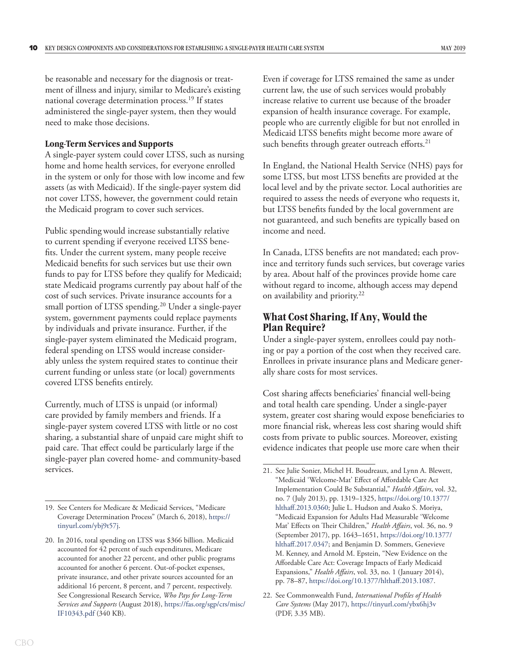<span id="page-13-0"></span>be reasonable and necessary for the diagnosis or treatment of illness and injury, similar to Medicare's existing national coverage determination process.19 If states administered the single-payer system, then they would need to make those decisions.

#### **Long-Term Services and Supports**

A single-payer system could cover LTSS, such as nursing home and home health services, for everyone enrolled in the system or only for those with low income and few assets (as with Medicaid). If the single-payer system did not cover LTSS, however, the government could retain the Medicaid program to cover such services.

Public spendingwould increase substantially relative to current spending if everyone received LTSS benefits. Under the current system, many people receive Medicaid benefits for such services but use their own funds to pay for LTSS before they qualify for Medicaid; state Medicaid programs currently pay about half of the cost of such services. Private insurance accounts for a small portion of LTSS spending.20 Under a single-payer system, government payments could replace payments by individuals and private insurance. Further, if the single-payer system eliminated the Medicaid program, federal spending on LTSS would increase considerably unless the system required states to continue their current funding or unless state (or local) governments covered LTSS benefits entirely.

Currently, much of LTSS is unpaid (or informal) care provided by family members and friends. If a single-payer system covered LTSS with little or no cost sharing, a substantial share of unpaid care might shift to paid care. That effect could be particularly large if the single-payer plan covered home- and community-based services.

Even if coverage for LTSS remained the same as under current law, the use of such services would probably increase relative to current use because of the broader expansion of health insurance coverage. For example, people who are currently eligible for but not enrolled in Medicaid LTSS benefits might become more aware of such benefits through greater outreach efforts.<sup>21</sup>

In England, the National Health Service (NHS) pays for some LTSS, but most LTSS benefits are provided at the local level and by the private sector. Local authorities are required to assess the needs of everyone who requests it, but LTSS benefits funded by the local government are not guaranteed, and such benefits are typically based on income and need.

In Canada, LTSS benefits are not mandated; each province and territory funds such services, but coverage varies by area. About half of the provinces provide home care without regard to income, although access may depend on availability and priority.<sup>22</sup>

## **What Cost Sharing, If Any, Would the Plan Require?**

Under a single-payer system, enrollees could pay nothing or pay a portion of the cost when they received care. Enrollees in private insurance plans and Medicare generally share costs for most services.

Cost sharing affects beneficiaries' financial well-being and total health care spending. Under a single-payer system, greater cost sharing would expose beneficiaries to more financial risk, whereas less cost sharing would shift costs from private to public sources. Moreover, existing evidence indicates that people use more care when their

<sup>19.</sup> See Centers for Medicare & Medicaid Services, "Medicare Coverage Determination Process" (March 6, 2018), [https://](https://tinyurl.com/ybj9t57j) [tinyurl.com/ybj9t57j](https://tinyurl.com/ybj9t57j).

<sup>20.</sup> In 2016, total spending on LTSS was \$366 billion. Medicaid accounted for 42 percent of such expenditures, Medicare accounted for another 22 percent, and other public programs accounted for another 6 percent. Out-of-pocket expenses, private insurance, and other private sources accounted for an additional 16 percent, 8 percent, and 7 percent, respectively. See Congressional Research Service, *Who Pays for Long-Term Services and Supports* (August 2018), [https://fas.org/sgp/crs/misc/](https://fas.org/sgp/crs/misc/IF10343.pdf) [IF10343.pdf](https://fas.org/sgp/crs/misc/IF10343.pdf) (340 KB).

<sup>21.</sup> See Julie Sonier, Michel H. Boudreaux, and Lynn A. Blewett, "Medicaid 'Welcome-Mat' Effect of Affordable Care Act Implementation Could Be Substantial," *Health Affairs*, vol. 32, no. 7 (July 2013), pp. 1319–1325, [https://doi.org/10.1377/](https://doi.org/10.1377/hlthaff.2013.0360) [hlthaff.2013.0360](https://doi.org/10.1377/hlthaff.2013.0360); Julie L. Hudson and Asako S. Moriya, "Medicaid Expansion for Adults Had Measurable 'Welcome Mat' Effects on Their Children," *Health Affairs*, vol. 36, no. 9 (September 2017), pp. 1643–1651, [https://doi.org/10.1377/](https://doi.org/10.1377/hlthaff.2017.0347) [hlthaff.2017.0347](https://doi.org/10.1377/hlthaff.2017.0347); and Benjamin D. Sommers, Genevieve M. Kenney, and Arnold M. Epstein, "New Evidence on the Affordable Care Act: Coverage Impacts of Early Medicaid Expansions," *Health Affairs*, vol. 33, no. 1 (January 2014), pp. 78–87, [https://doi.org/10.1377/hlthaff.2013.1087.](https://doi.org/10.1377/hlthaff.2013.1087)

<sup>22.</sup> See Commonwealth Fund, *International Profiles of Health Care Systems* (May 2017), <https://tinyurl.com/ybx6hj3v> (PDF, 3.35 MB).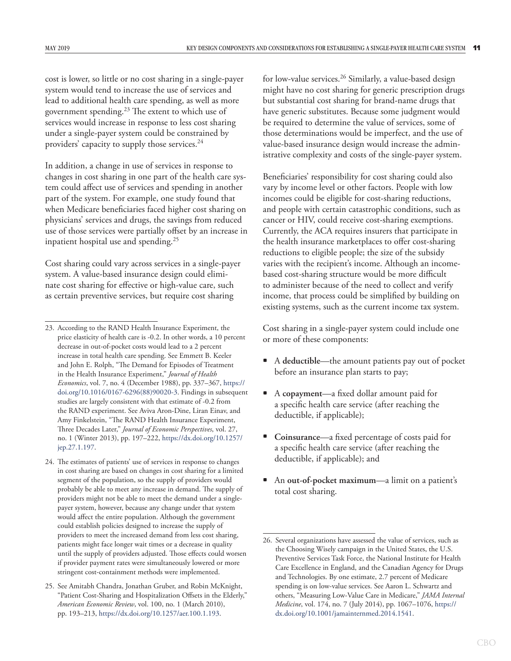cost is lower, so little or no cost sharing in a single-payer system would tend to increase the use of services and lead to additional health care spending, as well as more government spending.23 The extent to which use of services would increase in response to less cost sharing under a single-payer system could be constrained by providers' capacity to supply those services.<sup>24</sup>

In addition, a change in use of services in response to changes in cost sharing in one part of the health care system could affect use of services and spending in another part of the system. For example, one study found that when Medicare beneficiaries faced higher cost sharing on physicians' services and drugs, the savings from reduced use of those services were partially offset by an increase in inpatient hospital use and spending.25

Cost sharing could vary across services in a single-payer system. A value-based insurance design could eliminate cost sharing for effective or high-value care, such as certain preventive services, but require cost sharing

- 24. The estimates of patients' use of services in response to changes in cost sharing are based on changes in cost sharing for a limited segment of the population, so the supply of providers would probably be able to meet any increase in demand. The supply of providers might not be able to meet the demand under a singlepayer system, however, because any change under that system would affect the entire population. Although the government could establish policies designed to increase the supply of providers to meet the increased demand from less cost sharing, patients might face longer wait times or a decrease in quality until the supply of providers adjusted. Those effects could worsen if provider payment rates were simultaneously lowered or more stringent cost-containment methods were implemented.
- 25. See Amitabh Chandra, Jonathan Gruber, and Robin McKnight, "Patient Cost-Sharing and Hospitalization Offsets in the Elderly," *American Economic Review*, vol. 100, no. 1 (March 2010), pp. 193–213, [https://dx.doi.org/10.1257/aer.100.1.193.](https://dx.doi.org/10.1257/aer.100.1.193)

for low-value services.26 Similarly, a value-based design might have no cost sharing for generic prescription drugs but substantial cost sharing for brand-name drugs that have generic substitutes. Because some judgment would be required to determine the value of services, some of those determinations would be imperfect, and the use of value-based insurance design would increase the administrative complexity and costs of the single-payer system.

Beneficiaries' responsibility for cost sharing could also vary by income level or other factors. People with low incomes could be eligible for cost-sharing reductions, and people with certain catastrophic conditions, such as cancer or HIV, could receive cost-sharing exemptions. Currently, the ACA requires insurers that participate in the health insurance marketplaces to offer cost-sharing reductions to eligible people; the size of the subsidy varies with the recipient's income. Although an incomebased cost-sharing structure would be more difficult to administer because of the need to collect and verify income, that process could be simplified by building on existing systems, such as the current income tax system.

Cost sharing in a single-payer system could include one or more of these components:

- A **deductible**—the amount patients pay out of pocket before an insurance plan starts to pay;
- A **copayment**—a fixed dollar amount paid for a specific health care service (after reaching the deductible, if applicable);
- **Coinsurance**—a fixed percentage of costs paid for a specific health care service (after reaching the deductible, if applicable); and
- An **out-of-pocket maximum**—a limit on a patient's total cost sharing.

<sup>23.</sup> According to the RAND Health Insurance Experiment, the price elasticity of health care is -0.2. In other words, a 10 percent decrease in out-of-pocket costs would lead to a 2 percent increase in total health care spending. See Emmett B. Keeler and John E. Rolph, "The Demand for Episodes of Treatment in the Health Insurance Experiment," *Journal of Health Economics*, vol. 7, no. 4 (December 1988), pp. 337–367, [https://](https://doi.org/10.1016/0167-6296(88)90020-3) [doi.org/10.1016/0167-6296\(88\)90020-3.](https://doi.org/10.1016/0167-6296(88)90020-3) Findings in subsequent studies are largely consistent with that estimate of -0.2 from the RAND experiment. See Aviva Aron-Dine, Liran Einav, and Amy Finkelstein, "The RAND Health Insurance Experiment, Three Decades Later," *Journal of Economic Perspectives*, vol. 27, no. 1 (Winter 2013), pp. 197–222, [https://dx.doi.org/10.1257/](https://dx.doi.org/10.1257%2Fjep.27.1.197) [jep.27.1.197](https://dx.doi.org/10.1257%2Fjep.27.1.197).

<sup>26.</sup> Several organizations have assessed the value of services, such as the Choosing Wisely campaign in the United States, the U.S. Preventive Services Task Force, the National Institute for Health Care Excellence in England, and the Canadian Agency for Drugs and Technologies. By one estimate, 2.7 percent of Medicare spending is on low-value services. See Aaron L. Schwartz and others, "Measuring Low-Value Care in Medicare," *JAMA Internal Medicine*, vol. 174, no. 7 (July 2014), pp. 1067–1076, [https://](https://dx.doi.org/10.1001/jamainternmed.2014.1541) [dx.doi.org/10.1001/jamainternmed.2014.1541](https://dx.doi.org/10.1001/jamainternmed.2014.1541).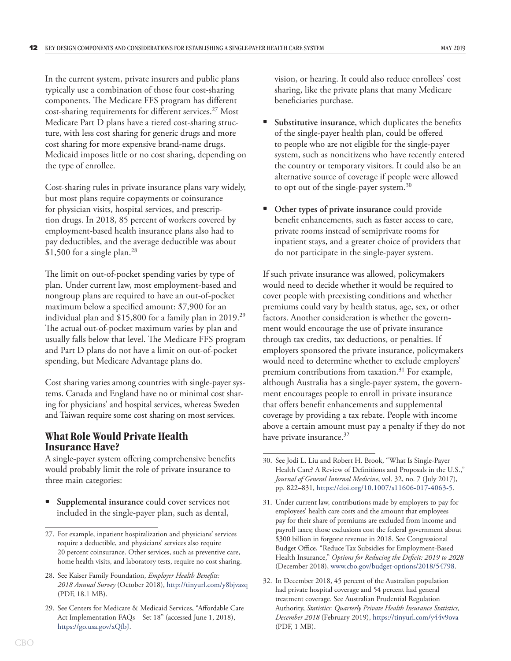<span id="page-15-0"></span>In the current system, private insurers and public plans typically use a combination of those four cost-sharing components. The Medicare FFS program has different cost-sharing requirements for different services.27 Most Medicare Part D plans have a tiered cost-sharing structure, with less cost sharing for generic drugs and more cost sharing for more expensive brand-name drugs. Medicaid imposes little or no cost sharing, depending on the type of enrollee.

Cost-sharing rules in private insurance plans vary widely, but most plans require copayments or coinsurance for physician visits, hospital services, and prescription drugs. In 2018, 85 percent of workers covered by employment-based health insurance plans also had to pay deductibles, and the average deductible was about  $$1,500$  for a single plan.<sup>28</sup>

The limit on out-of-pocket spending varies by type of plan. Under current law, most employment-based and nongroup plans are required to have an out-of-pocket maximum below a specified amount: \$7,900 for an individual plan and \$15,800 for a family plan in 2019.29 The actual out-of-pocket maximum varies by plan and usually falls below that level. The Medicare FFS program and Part D plans do not have a limit on out-of-pocket spending, but Medicare Advantage plans do.

Cost sharing varies among countries with single-payer systems. Canada and England have no or minimal cost sharing for physicians' and hospital services, whereas Sweden and Taiwan require some cost sharing on most services.

# **What Role Would Private Health Insurance Have?**

A single-payer system offering comprehensive benefits would probably limit the role of private insurance to three main categories:

**Supplemental insurance** could cover services not included in the single-payer plan, such as dental,

vision, or hearing. It could also reduce enrollees' cost sharing, like the private plans that many Medicare beneficiaries purchase.

- Substitutive insurance, which duplicates the benefits of the single-payer health plan, could be offered to people who are not eligible for the single-payer system, such as noncitizens who have recently entered the country or temporary visitors. It could also be an alternative source of coverage if people were allowed to opt out of the single-payer system.<sup>30</sup>
- **Other types of private insurance** could provide benefit enhancements, such as faster access to care, private rooms instead of semiprivate rooms for inpatient stays, and a greater choice of providers that do not participate in the single-payer system.

If such private insurance was allowed, policymakers would need to decide whether it would be required to cover people with preexisting conditions and whether premiums could vary by health status, age, sex, or other factors. Another consideration is whether the government would encourage the use of private insurance through tax credits, tax deductions, or penalties. If employers sponsored the private insurance, policymakers would need to determine whether to exclude employers' premium contributions from taxation.<sup>31</sup> For example, although Australia has a single-payer system, the government encourages people to enroll in private insurance that offers benefit enhancements and supplemental coverage by providing a tax rebate. People with income above a certain amount must pay a penalty if they do not have private insurance.<sup>32</sup>

<sup>27.</sup> For example, inpatient hospitalization and physicians' services require a deductible, and physicians' services also require 20 percent coinsurance. Other services, such as preventive care, home health visits, and laboratory tests, require no cost sharing.

<sup>28.</sup> See Kaiser Family Foundation, *Employer Health Benefits: 2018 Annual Survey* (October 2018), <http://tinyurl.com/y8bjvazq> (PDF, 18.1 MB).

<sup>29.</sup> See Centers for Medicare & Medicaid Services, "Affordable Care Act Implementation FAQs—Set 18" (accessed June 1, 2018), [https://go.usa.gov/xQfbJ.](https://go.usa.gov/xQfbJ)

<sup>30.</sup> See Jodi L. Liu and Robert H. Brook, "What Is Single-Payer Health Care? A Review of Definitions and Proposals in the U.S.," *Journal of General Internal Medicine*, vol. 32, no. 7 (July 2017), pp. 822–831, [https://doi.org/10.1007/s11606-017-4063-5.](https://doi.org/10.1007/s11606-017-4063-5)

<sup>31.</sup> Under current law, contributions made by employers to pay for employees' health care costs and the amount that employees pay for their share of premiums are excluded from income and payroll taxes; those exclusions cost the federal government about \$300 billion in forgone revenue in 2018. See Congressional Budget Office, "Reduce Tax Subsidies for Employment-Based Health Insurance," *Options for Reducing the Deficit: 2019 to 2028*  (December 2018), [www.cbo.gov/budget-options/2018/54798.](https://www.cbo.gov/budget-options/2018/54798)

<sup>32.</sup> In December 2018, 45 percent of the Australian population had private hospital coverage and 54 percent had general treatment coverage. See Australian Prudential Regulation Authority, *Statistics: Quarterly Private Health Insurance Statistics, December 2018* (February 2019), <https://tinyurl.com/y44v9ova> (PDF, 1 MB).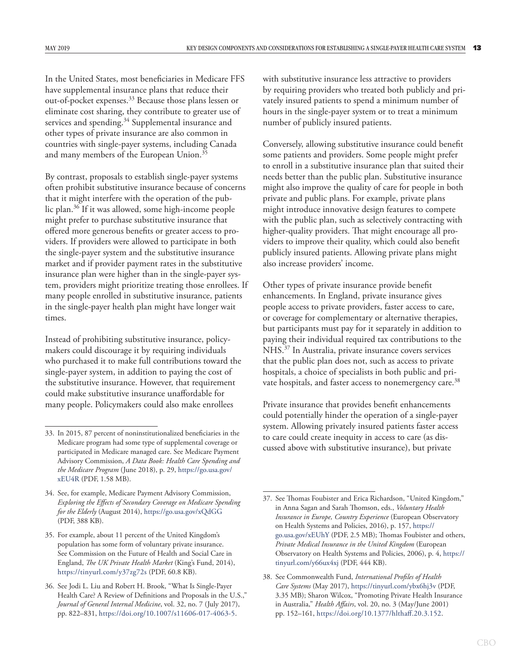In the United States, most beneficiaries in Medicare FFS have supplemental insurance plans that reduce their out-of-pocket expenses.33 Because those plans lessen or eliminate cost sharing, they contribute to greater use of services and spending.<sup>34</sup> Supplemental insurance and other types of private insurance are also common in countries with single-payer systems, including Canada and many members of the European Union.<sup>35</sup>

By contrast, proposals to establish single-payer systems often prohibit substitutive insurance because of concerns that it might interfere with the operation of the public plan.<sup>36</sup> If it was allowed, some high-income people might prefer to purchase substitutive insurance that offered more generous benefits or greater access to providers. If providers were allowed to participate in both the single-payer system and the substitutive insurance market and if provider payment rates in the substitutive insurance plan were higher than in the single-payer system, providers might prioritize treating those enrollees. If many people enrolled in substitutive insurance, patients in the single-payer health plan might have longer wait times.

Instead of prohibiting substitutive insurance, policymakers could discourage it by requiring individuals who purchased it to make full contributions toward the single-payer system, in addition to paying the cost of the substitutive insurance. However, that requirement could make substitutive insurance unaffordable for many people. Policymakers could also make enrollees

with substitutive insurance less attractive to providers by requiring providers who treated both publicly and privately insured patients to spend a minimum number of hours in the single-payer system or to treat a minimum number of publicly insured patients.

Conversely, allowing substitutive insurance could benefit some patients and providers. Some people might prefer to enroll in a substitutive insurance plan that suited their needs better than the public plan. Substitutive insurance might also improve the quality of care for people in both private and public plans. For example, private plans might introduce innovative design features to compete with the public plan, such as selectively contracting with higher-quality providers. That might encourage all providers to improve their quality, which could also benefit publicly insured patients. Allowing private plans might also increase providers' income.

Other types of private insurance provide benefit enhancements. In England, private insurance gives people access to private providers, faster access to care, or coverage for complementary or alternative therapies, but participants must pay for it separately in addition to paying their individual required tax contributions to the NHS.37 In Australia, private insurance covers services that the public plan does not, such as access to private hospitals, a choice of specialists in both public and private hospitals, and faster access to nonemergency care.<sup>38</sup>

Private insurance that provides benefit enhancements could potentially hinder the operation of a single-payer system. Allowing privately insured patients faster access to care could create inequity in access to care (as discussed above with substitutive insurance), but private

<sup>33.</sup> In 2015, 87 percent of noninstitutionalized beneficiaries in the Medicare program had some type of supplemental coverage or participated in Medicare managed care. See Medicare Payment Advisory Commission, *A Data Book: Health Care Spending and the Medicare Program* (June 2018), p. 29, [https://go.usa.gov/](https://go.usa.gov/xEU4R) [xEU4R](https://go.usa.gov/xEU4R) (PDF, 1.58 MB).

<sup>34.</sup> See, for example, Medicare Payment Advisory Commission, *Exploring the Effects of Secondary Coverage on Medicare Spending for the Elderly* (August 2014), <https://go.usa.gov/xQdGG> (PDF, 388 KB).

<sup>35.</sup> For example, about 11 percent of the United Kingdom's population has some form of voluntary private insurance. See Commission on the Future of Health and Social Care in England, *The UK Private Health Market* (King's Fund, 2014), <https://tinyurl.com/y37zg72s> (PDF, 60.8 KB).

<sup>36.</sup> See Jodi L. Liu and Robert H. Brook, "What Is Single-Payer Health Care? A Review of Definitions and Proposals in the U.S.," *Journal of General Internal Medicine*, vol. 32, no. 7 (July 2017), pp. 822–831, [https://doi.org/10.1007/s11606-017-4063-5.](https://doi.org/10.1007/s11606-017-4063-5)

<sup>37.</sup> See Thomas Foubister and Erica Richardson, "United Kingdom," in Anna Sagan and Sarah Thomson, eds., *Voluntary Health Insurance in Europe, Country Experience* (European Observatory on Health Systems and Policies, 2016), p. 157, [https://](https://go.usa.gov/xEUhY) [go.usa.gov/xEUhY](https://go.usa.gov/xEUhY) (PDF, 2.5 MB); Thomas Foubister and others, *Private Medical Insurance in the United Kingdom* (European Observatory on Health Systems and Policies, 2006), p. 4, [https://](https://tinyurl.com/y66ux4xj) [tinyurl.com/y66ux4xj](https://tinyurl.com/y66ux4xj) (PDF, 444 KB).

<sup>38.</sup> See Commonwealth Fund, *International Profiles of Health Care Systems* (May 2017), <https://tinyurl.com/ybx6hj3v>(PDF, 3.35 MB); Sharon Wilcox, "Promoting Private Health Insurance in Australia," *Health Affairs*, vol. 20, no. 3 (May/June 2001) pp. 152–161, [https://doi.org/10.1377/hlthaff.20.3.152.](https://doi.org/10.1377/hlthaff.20.3.152)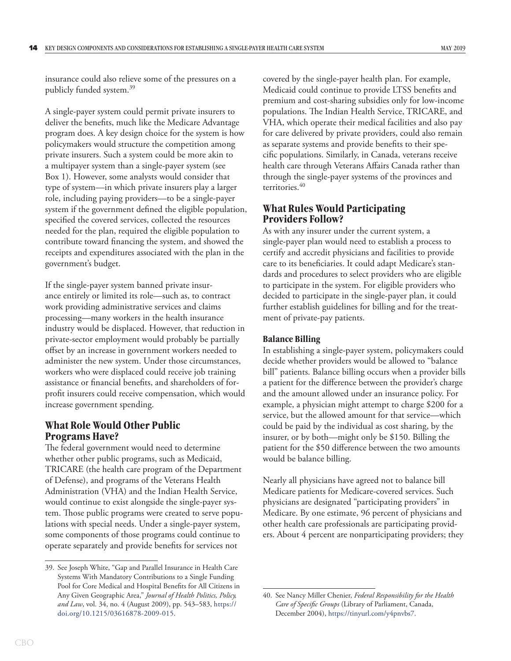<span id="page-17-0"></span>insurance could also relieve some of the pressures on a publicly funded system.39

A single-payer system could permit private insurers to deliver the benefits, much like the Medicare Advantage program does. A key design choice for the system is how policymakers would structure the competition among private insurers. Such a system could be more akin to a multipayer system than a single-payer system (see [Box 1\)](#page-19-1). However, some analysts would consider that type of system—in which private insurers play a larger role, including paying providers—to be a single-payer system if the government defined the eligible population, specified the covered services, collected the resources needed for the plan, required the eligible population to contribute toward financing the system, and showed the receipts and expenditures associated with the plan in the government's budget.

If the single-payer system banned private insurance entirely or limited its role—such as, to contract work providing administrative services and claims processing—many workers in the health insurance industry would be displaced. However, that reduction in private-sector employment would probably be partially offset by an increase in government workers needed to administer the new system. Under those circumstances, workers who were displaced could receive job training assistance or financial benefits, and shareholders of forprofit insurers could receive compensation, which would increase government spending.

#### **What Role Would Other Public Programs Have?**

The federal government would need to determine whether other public programs, such as Medicaid, TRICARE (the health care program of the Department of Defense), and programs of the Veterans Health Administration (VHA) and the Indian Health Service, would continue to exist alongside the single-payer system. Those public programs were created to serve populations with special needs. Under a single-payer system, some components of those programs could continue to operate separately and provide benefits for services not

covered by the single-payer health plan. For example, Medicaid could continue to provide LTSS benefits and premium and cost-sharing subsidies only for low-income populations. The Indian Health Service, TRICARE, and VHA, which operate their medical facilities and also pay for care delivered by private providers, could also remain as separate systems and provide benefits to their specific populations. Similarly, in Canada, veterans receive health care through Veterans Affairs Canada rather than through the single-payer systems of the provinces and territories.<sup>40</sup>

## **What Rules Would Participating Providers Follow?**

As with any insurer under the current system, a single-payer plan would need to establish a process to certify and accredit physicians and facilities to provide care to its beneficiaries. It could adapt Medicare's standards and procedures to select providers who are eligible to participate in the system. For eligible providers who decided to participate in the single-payer plan, it could further establish guidelines for billing and for the treatment of private-pay patients.

#### **Balance Billing**

In establishing a single-payer system, policymakers could decide whether providers would be allowed to "balance bill" patients. Balance billing occurs when a provider bills a patient for the difference between the provider's charge and the amount allowed under an insurance policy. For example, a physician might attempt to charge \$200 for a service, but the allowed amount for that service—which could be paid by the individual as cost sharing, by the insurer, or by both—might only be \$150. Billing the patient for the \$50 difference between the two amounts would be balance billing.

Nearly all physicians have agreed not to balance bill Medicare patients for Medicare-covered services. Such physicians are designated "participating providers" in Medicare. By one estimate, 96 percent of physicians and other health care professionals are participating providers. About 4 percent are nonparticipating providers; they

<sup>39.</sup> See Joseph White, "Gap and Parallel Insurance in Health Care Systems With Mandatory Contributions to a Single Funding Pool for Core Medical and Hospital Benefits for All Citizens in Any Given Geographic Area," *Journal of Health Politics, Policy, and Law*, vol. 34, no. 4 (August 2009), pp. 543–583, [https://](https://doi.org/10.1215/03616878-2009-015) [doi.org/10.1215/03616878-2009-015](https://doi.org/10.1215/03616878-2009-015).

<sup>40.</sup> See Nancy Miller Chenier, *Federal Responsibility for the Health Care of Specific Groups* (Library of Parliament, Canada, December 2004), [https://tinyurl.com/y4pnvbs7.](https://tinyurl.com/y4pnvbs7)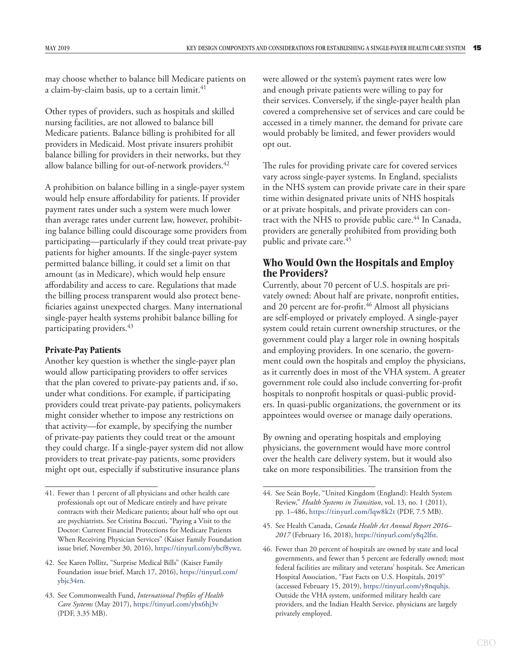<span id="page-18-0"></span>may choose whether to balance bill Medicare patients on a claim-by-claim basis, up to a certain limit.<sup>41</sup>

Other types of providers, such as hospitals and skilled nursing facilities, are not allowed to balance bill Medicare patients. Balance billing is prohibited for all providers in Medicaid. Most private insurers prohibit balance billing for providers in their networks, but they allow balance billing for out-of-network providers.<sup>42</sup>

A prohibition on balance billing in a single-payer system would help ensure affordability for patients. If provider payment rates under such a system were much lower than average rates under current law, however, prohibiting balance billing could discourage some providers from participating—particularly if they could treat private-pay patients for higher amounts. If the single-payer system permitted balance billing, it could set a limit on that amount (as in Medicare), which would help ensure affordability and access to care. Regulations that made the billing process transparent would also protect beneficiaries against unexpected charges. Many international single-payer health systems prohibit balance billing for participating providers.<sup>43</sup>

#### **Private-Pay Patients**

Another key question is whether the single-payer plan would allow participating providers to offer services that the plan covered to private-pay patients and, if so, under what conditions. For example, if participating providers could treat private-pay patients, policymakers might consider whether to impose any restrictions on that activity—for example, by specifying the number of private-pay patients they could treat or the amount they could charge. If a single-payer system did not allow providers to treat private-pay patients, some providers might opt out, especially if substitutive insurance plans

were allowed or the system's payment rates were low and enough private patients were willing to pay for their services. Conversely, if the single-payer health plan covered a comprehensive set of services and care could be accessed in a timely manner, the demand for private care would probably be limited, and fewer providers would opt out.

The rules for providing private care for covered services vary across single-payer systems. In England, specialists in the NHS system can provide private care in their spare time within designated private units of NHS hospitals or at private hospitals, and private providers can contract with the NHS to provide public care.<sup>44</sup> In Canada, providers are generally prohibited from providing both public and private care.<sup>45</sup>

# **Who Would Own the Hospitals and Employ the Providers?**

Currently, about 70 percent of U.S. hospitals are privately owned: About half are private, nonprofit entities, and 20 percent are for-profit.<sup>46</sup> Almost all physicians are self-employed or privately employed. A single-payer system could retain current ownership structures, or the government could play a larger role in owning hospitals and employing providers. In one scenario, the government could own the hospitals and employ the physicians, as it currently does in most of the VHA system. A greater government role could also include converting for-profit hospitals to nonprofit hospitals or quasi-public providers. In quasi-public organizations, the government or its appointees would oversee or manage daily operations.

By owning and operating hospitals and employing physicians, the government would have more control over the health care delivery system, but it would also take on more responsibilities. The transition from the

<sup>41.</sup> Fewer than 1 percent of all physicians and other health care professionals opt out of Medicare entirely and have private contracts with their Medicare patients; about half who opt out are psychiatrists. See Cristina Boccuti, "Paying a Visit to the Doctor: Current Financial Protections for Medicare Patients When Receiving Physician Services" (Kaiser Family Foundation issue brief, November 30, 2016), [https://tinyurl.com/ybcf8ywz.](https://tinyurl.com/ybcf8ywz)

<sup>42.</sup> See Karen Pollitz, "Surprise Medical Bills" (Kaiser Family Foundation issue brief, March 17, 2016), [https://tinyurl.com/](https://tinyurl.com/ybjc34rn) [ybjc34rn](https://tinyurl.com/ybjc34rn).

<sup>43.</sup> See Commonwealth Fund, *International Profiles of Health Care Systems* (May 2017), <https://tinyurl.com/ybx6hj3v> (PDF, 3.35 MB).

<sup>44.</sup> See Seán Boyle, "United Kingdom (England): Health System Review," *Health Systems in Transition*, vol. 13, no. 1 (2011), pp. 1–486,<https://tinyurl.com/lqw8k2t>(PDF, 7.5 MB).

<sup>45.</sup> See Health Canada, *Canada Health Act Annual Report 2016– 2017* (February 16, 2018), [https://tinyurl.com/y8q2lfst.](https://tinyurl.com/y8q2lfst)

<sup>46.</sup> Fewer than 20 percent of hospitals are owned by state and local governments, and fewer than 5 percent are federally owned; most federal facilities are military and veterans' hospitals. See American Hospital Association, "Fast Facts on U.S. Hospitals, 2019" (accessed February 15, 2019), <https://tinyurl.com/y8nquhjs>. Outside the VHA system, uniformed military health care providers, and the Indian Health Service, physicians are largely privately employed.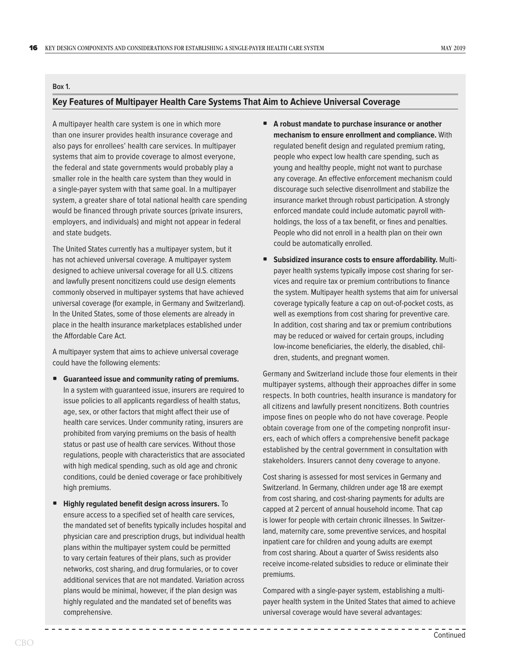#### <span id="page-19-1"></span><span id="page-19-0"></span>**Box 1.**

#### **Key Features of Multipayer Health Care Systems That Aim to Achieve Universal Coverage**

A multipayer health care system is one in which more than one insurer provides health insurance coverage and also pays for enrollees' health care services. In multipayer systems that aim to provide coverage to almost everyone, the federal and state governments would probably play a smaller role in the health care system than they would in a single-payer system with that same goal. In a multipayer system, a greater share of total national health care spending would be financed through private sources (private insurers, employers, and individuals) and might not appear in federal and state budgets.

The United States currently has a multipayer system, but it has not achieved universal coverage. A multipayer system designed to achieve universal coverage for all U.S. citizens and lawfully present noncitizens could use design elements commonly observed in multipayer systems that have achieved universal coverage (for example, in Germany and Switzerland). In the United States, some of those elements are already in place in the health insurance marketplaces established under the Affordable Care Act.

A multipayer system that aims to achieve universal coverage could have the following elements:

- **Guaranteed issue and community rating of premiums.** In a system with guaranteed issue, insurers are required to issue policies to all applicants regardless of health status, age, sex, or other factors that might affect their use of health care services. Under community rating, insurers are prohibited from varying premiums on the basis of health status or past use of health care services. Without those regulations, people with characteristics that are associated with high medical spending, such as old age and chronic conditions, could be denied coverage or face prohibitively high premiums.
- **Highly regulated benefit design across insurers.** To ensure access to a specified set of health care services, the mandated set of benefits typically includes hospital and physician care and prescription drugs, but individual health plans within the multipayer system could be permitted to vary certain features of their plans, such as provider networks, cost sharing, and drug formularies, or to cover additional services that are not mandated. Variation across plans would be minimal, however, if the plan design was highly regulated and the mandated set of benefits was comprehensive.
- **A robust mandate to purchase insurance or another mechanism to ensure enrollment and compliance.** With regulated benefit design and regulated premium rating, people who expect low health care spending, such as young and healthy people, might not want to purchase any coverage. An effective enforcement mechanism could discourage such selective disenrollment and stabilize the insurance market through robust participation. A strongly enforced mandate could include automatic payroll withholdings, the loss of a tax benefit, or fines and penalties. People who did not enroll in a health plan on their own could be automatically enrolled.
- **Subsidized insurance costs to ensure affordability.** Multipayer health systems typically impose cost sharing for services and require tax or premium contributions to finance the system. Multipayer health systems that aim for universal coverage typically feature a cap on out-of-pocket costs, as well as exemptions from cost sharing for preventive care. In addition, cost sharing and tax or premium contributions may be reduced or waived for certain groups, including low-income beneficiaries, the elderly, the disabled, children, students, and pregnant women.

Germany and Switzerland include those four elements in their multipayer systems, although their approaches differ in some respects. In both countries, health insurance is mandatory for all citizens and lawfully present noncitizens. Both countries impose fines on people who do not have coverage. People obtain coverage from one of the competing nonprofit insurers, each of which offers a comprehensive benefit package established by the central government in consultation with stakeholders. Insurers cannot deny coverage to anyone.

Cost sharing is assessed for most services in Germany and Switzerland. In Germany, children under age 18 are exempt from cost sharing, and cost-sharing payments for adults are capped at 2 percent of annual household income. That cap is lower for people with certain chronic illnesses. In Switzerland, maternity care, some preventive services, and hospital inpatient care for children and young adults are exempt from cost sharing. About a quarter of Swiss residents also receive income-related subsidies to reduce or eliminate their premiums.

Compared with a single-payer system, establishing a multipayer health system in the United States that aimed to achieve universal coverage would have several advantages: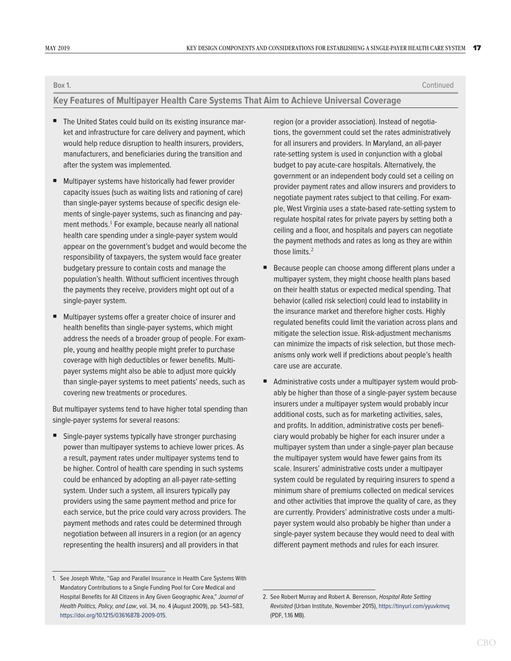**Box 1.** Continued

#### **Key Features of Multipayer Health Care Systems That Aim to Achieve Universal Coverage**

- The United States could build on its existing insurance market and infrastructure for care delivery and payment, which would help reduce disruption to health insurers, providers, manufacturers, and beneficiaries during the transition and after the system was implemented.
- Multipayer systems have historically had fewer provider capacity issues (such as waiting lists and rationing of care) than single-payer systems because of specific design elements of single-payer systems, such as financing and payment methods.<sup>1</sup> For example, because nearly all national health care spending under a single-payer system would appear on the government's budget and would become the responsibility of taxpayers, the system would face greater budgetary pressure to contain costs and manage the population's health. Without sufficient incentives through the payments they receive, providers might opt out of a single-payer system.
- Multipayer systems offer a greater choice of insurer and health benefits than single-payer systems, which might address the needs of a broader group of people. For example, young and healthy people might prefer to purchase coverage with high deductibles or fewer benefits. Multipayer systems might also be able to adjust more quickly than single-payer systems to meet patients' needs, such as covering new treatments or procedures.

But multipayer systems tend to have higher total spending than single-payer systems for several reasons:

• Single-payer systems typically have stronger purchasing power than multipayer systems to achieve lower prices. As a result, payment rates under multipayer systems tend to be higher. Control of health care spending in such systems could be enhanced by adopting an all-payer rate-setting system. Under such a system, all insurers typically pay providers using the same payment method and price for each service, but the price could vary across providers. The payment methods and rates could be determined through negotiation between all insurers in a region (or an agency representing the health insurers) and all providers in that

region (or a provider association). Instead of negotiations, the government could set the rates administratively for all insurers and providers. In Maryland, an all-payer rate-setting system is used in conjunction with a global budget to pay acute-care hospitals. Alternatively, the government or an independent body could set a ceiling on provider payment rates and allow insurers and providers to negotiate payment rates subject to that ceiling. For example, West Virginia uses a state-based rate-setting system to regulate hospital rates for private payers by setting both a ceiling and a floor, and hospitals and payers can negotiate the payment methods and rates as long as they are within those limits. $2$ 

- Because people can choose among different plans under a multipayer system, they might choose health plans based on their health status or expected medical spending. That behavior (called risk selection) could lead to instability in the insurance market and therefore higher costs. Highly regulated benefits could limit the variation across plans and mitigate the selection issue. Risk-adjustment mechanisms can minimize the impacts of risk selection, but those mechanisms only work well if predictions about people's health care use are accurate.
- Administrative costs under a multipayer system would probably be higher than those of a single-payer system because insurers under a multipayer system would probably incur additional costs, such as for marketing activities, sales, and profits. In addition, administrative costs per beneficiary would probably be higher for each insurer under a multipayer system than under a single-payer plan because the multipayer system would have fewer gains from its scale. Insurers' administrative costs under a multipayer system could be regulated by requiring insurers to spend a minimum share of premiums collected on medical services and other activities that improve the quality of care, as they are currently. Providers' administrative costs under a multipayer system would also probably be higher than under a single-payer system because they would need to deal with different payment methods and rules for each insurer.

<sup>1.</sup> See Joseph White, "Gap and Parallel Insurance in Health Care Systems With Mandatory Contributions to a Single Funding Pool for Core Medical and Hospital Benefits for All Citizens in Any Given Geographic Area," *Journal of Health Politics, Policy, and Law*, vol. 34, no. 4 (August 2009), pp. 543–583, <https://doi.org/10.1215/03616878-2009-015>.

<sup>2.</sup> See Robert Murray and Robert A. Berenson, *Hospital Rate Setting Revisited* (Urban Institute, November 2015), <https://tinyurl.com/yyuvkmvq> (PDF, 1.16 MB).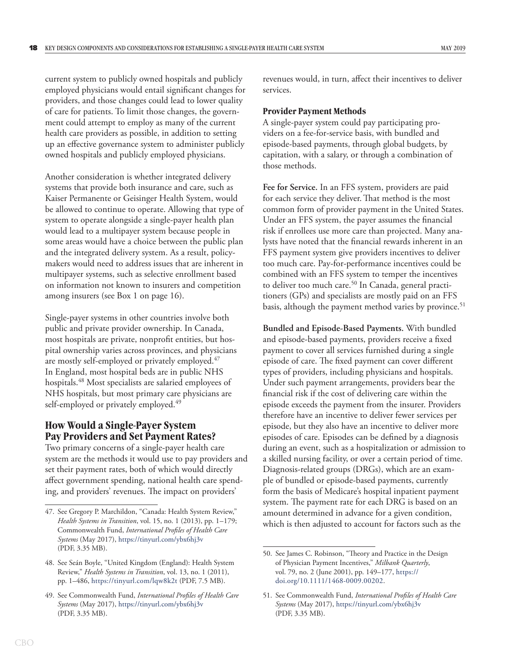<span id="page-21-0"></span>current system to publicly owned hospitals and publicly employed physicians would entail significant changes for providers, and those changes could lead to lower quality of care for patients. To limit those changes, the government could attempt to employ as many of the current health care providers as possible, in addition to setting up an effective governance system to administer publicly owned hospitals and publicly employed physicians.

Another consideration is whether integrated delivery systems that provide both insurance and care, such as Kaiser Permanente or Geisinger Health System, would be allowed to continue to operate. Allowing that type of system to operate alongside a single-payer health plan would lead to a multipayer system because people in some areas would have a choice between the public plan and the integrated delivery system. As a result, policymakers would need to address issues that are inherent in multipayer systems, such as selective enrollment based on information not known to insurers and competition among insurers (see [Box 1 on page 16\)](#page-19-1).

Single-payer systems in other countries involve both public and private provider ownership. In Canada, most hospitals are private, nonprofit entities, but hospital ownership varies across provinces, and physicians are mostly self-employed or privately employed.<sup>47</sup> In England, most hospital beds are in public NHS hospitals.<sup>48</sup> Most specialists are salaried employees of NHS hospitals, but most primary care physicians are self-employed or privately employed.<sup>49</sup>

# **How Would a Single-Payer System Pay Providers and Set Payment Rates?**

Two primary concerns of a single-payer health care system are the methods it would use to pay providers and set their payment rates, both of which would directly affect government spending, national health care spending, and providers' revenues. The impact on providers'

revenues would, in turn, affect their incentives to deliver services.

#### **Provider Payment Methods**

A single-payer system could pay participating providers on a fee-for-service basis, with bundled and episode-based payments, through global budgets, by capitation, with a salary, or through a combination of those methods.

**Fee for Service.** In an FFS system, providers are paid for each service they deliver.That method is the most common form of provider payment in the United States. Under an FFS system, the payer assumes the financial risk if enrollees use more care than projected. Many analysts have noted that the financial rewards inherent in an FFS payment system give providers incentives to deliver too much care. Pay-for-performance incentives could be combined with an FFS system to temper the incentives to deliver too much care.<sup>50</sup> In Canada, general practitioners (GPs) and specialists are mostly paid on an FFS basis, although the payment method varies by province.<sup>51</sup>

**Bundled and Episode-Based Payments.** With bundled and episode-based payments, providers receive a fixed payment to cover all services furnished during a single episode of care. The fixed payment can cover different types of providers, including physicians and hospitals. Under such payment arrangements, providers bear the financial risk if the cost of delivering care within the episode exceeds the payment from the insurer. Providers therefore have an incentive to deliver fewer services per episode, but they also have an incentive to deliver more episodes of care. Episodes can be defined by a diagnosis during an event, such as a hospitalization or admission to a skilled nursing facility, or over a certain period of time. Diagnosis-related groups (DRGs), which are an example of bundled or episode-based payments, currently form the basis of Medicare's hospital inpatient payment system. The payment rate for each DRG is based on an amount determined in advance for a given condition, which is then adjusted to account for factors such as the

<sup>47.</sup> See Gregory P. Marchildon, "Canada: Health System Review," *Health Systems in Transition*, vol. 15, no. 1 (2013), pp. 1–179; Commonwealth Fund, *International Profiles of Health Care Systems* (May 2017), <https://tinyurl.com/ybx6hj3v> (PDF, 3.35 MB).

<sup>48.</sup> See Seán Boyle, "United Kingdom (England): Health System Review," *Health Systems in Transition*, vol. 13, no. 1 (2011), pp. 1–486,<https://tinyurl.com/lqw8k2t>(PDF, 7.5 MB).

<sup>49.</sup> See Commonwealth Fund, *International Profiles of Health Care Systems* (May 2017), <https://tinyurl.com/ybx6hj3v> (PDF, 3.35 MB).

<sup>50.</sup> See James C. Robinson, "Theory and Practice in the Design of Physician Payment Incentives," *Milbank Quarterly*, vol. 79, no. 2 (June 2001), pp. 149–177, [https://](https://doi.org/10.1111/1468-0009.00202) [doi.org/10.1111/1468-0009.00202](https://doi.org/10.1111/1468-0009.00202).

<sup>51.</sup> See Commonwealth Fund, *International Profiles of Health Care Systems* (May 2017), <https://tinyurl.com/ybx6hj3v> (PDF, 3.35 MB).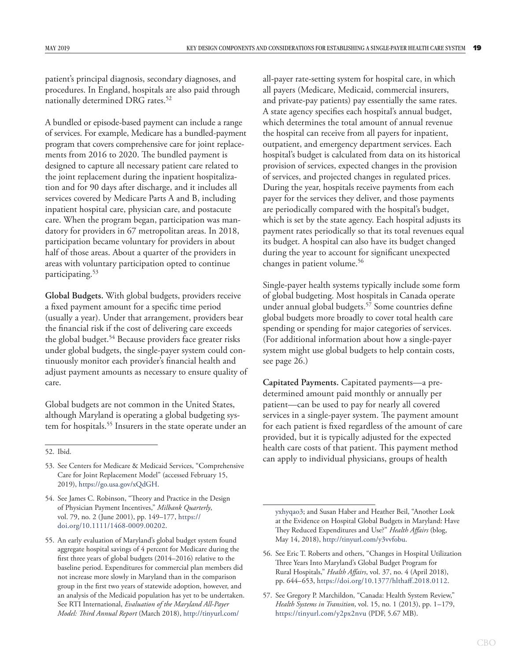patient's principal diagnosis, secondary diagnoses, and procedures. In England, hospitals are also paid through nationally determined DRG rates.<sup>52</sup>

A bundled or episode-based payment can include a range of services. For example, Medicare has a bundled-payment program that covers comprehensive care for joint replacements from 2016 to 2020. The bundled payment is designed to capture all necessary patient care related to the joint replacement during the inpatient hospitalization and for 90 days after discharge, and it includes all services covered by Medicare Parts A and B, including inpatient hospital care, physician care, and postacute care. When the program began, participation was mandatory for providers in 67 metropolitan areas. In 2018, participation became voluntary for providers in about half of those areas. About a quarter of the providers in areas with voluntary participation opted to continue participating.53

**Global Budgets.** With global budgets, providers receive a fixed payment amount for a specific time period (usually a year). Under that arrangement, providers bear the financial risk if the cost of delivering care exceeds the global budget.<sup>54</sup> Because providers face greater risks under global budgets, the single-payer system could continuously monitor each provider's financial health and adjust payment amounts as necessary to ensure quality of care.

Global budgets are not common in the United States, although Maryland is operating a global budgeting system for hospitals.<sup>55</sup> Insurers in the state operate under an

52. Ibid.

all-payer rate-setting system for hospital care, in which all payers (Medicare, Medicaid, commercial insurers, and private-pay patients) pay essentially the same rates. A state agency specifies each hospital's annual budget, which determines the total amount of annual revenue the hospital can receive from all payers for inpatient, outpatient, and emergency department services. Each hospital's budget is calculated from data on its historical provision of services, expected changes in the provision of services, and projected changes in regulated prices. During the year, hospitals receive payments from each payer for the services they deliver, and those payments are periodically compared with the hospital's budget, which is set by the state agency. Each hospital adjusts its payment rates periodically so that its total revenues equal its budget. A hospital can also have its budget changed during the year to account for significant unexpected changes in patient volume.<sup>56</sup>

Single-payer health systems typically include some form of global budgeting. Most hospitals in Canada operate under annual global budgets.<sup>57</sup> Some countries define global budgets more broadly to cover total health care spending or spending for major categories of services. (For additional information about how a single-payer system might use global budgets to help contain costs, see page 26.)

**Capitated Payments.** Capitated payments—a predetermined amount paid monthly or annually per patient—can be used to pay for nearly all covered services in a single-payer system. The payment amount for each patient is fixed regardless of the amount of care provided, but it is typically adjusted for the expected health care costs of that patient. This payment method can apply to individual physicians, groups of health

<sup>53.</sup> See Centers for Medicare & Medicaid Services, "Comprehensive Care for Joint Replacement Model" (accessed February 15, 2019), [https://go.usa.gov/xQdGH.](https://go.usa.gov/xQdGH)

<sup>54.</sup> See James C. Robinson, "Theory and Practice in the Design of Physician Payment Incentives," *Milbank Quarterly*, vol. 79, no. 2 (June 2001), pp. 149–177, [https://](https://doi.org/10.1111/1468-0009.00202) [doi.org/10.1111/1468-0009.00202](https://doi.org/10.1111/1468-0009.00202).

<sup>55.</sup> An early evaluation of Maryland's global budget system found aggregate hospital savings of 4 percent for Medicare during the first three years of global budgets (2014–2016) relative to the baseline period. Expenditures for commercial plan members did not increase more slowly in Maryland than in the comparison group in the first two years of statewide adoption, however, and an analysis of the Medicaid population has yet to be undertaken. See RTI International, *Evaluation of the Maryland All-Payer Model: Third Annual Report* (March 2018), [http://tinyurl.com/](http://tinyurl.com/yxhyqao3)

[yxhyqao3](http://tinyurl.com/yxhyqao3); and Susan Haber and Heather Beil, "Another Look at the Evidence on Hospital Global Budgets in Maryland: Have They Reduced Expenditures and Use?" *Health Affairs* (blog, May 14, 2018), [http://tinyurl.com/y3vvfobu.](http://tinyurl.com/y3vvfobu)

<sup>56.</sup> See Eric T. Roberts and others, "Changes in Hospital Utilization Three Years Into Maryland's Global Budget Program for Rural Hospitals," *Health Affairs*, vol. 37, no. 4 (April 2018), pp. 644–653, <https://doi.org/10.1377/hlthaff.2018.0112>.

<sup>57.</sup> See Gregory P. Marchildon, "Canada: Health System Review," *Health Systems in Transition*, vol. 15, no. 1 (2013), pp. 1–179, <https://tinyurl.com/y2px2nvu> (PDF, 5.67 MB).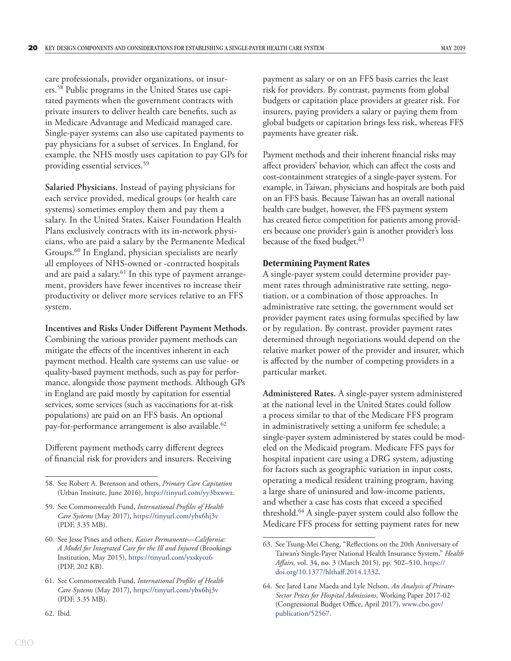<span id="page-23-0"></span>care professionals, provider organizations, or insurers.58 Public programs in the United States use capitated payments when the government contracts with private insurers to deliver health care benefits, such as in Medicare Advantage and Medicaid managed care. Single-payer systems can also use capitated payments to pay physicians for a subset of services. In England, for example, the NHS mostly uses capitation to pay GPs for providing essential services.59

**Salaried Physicians.** Instead of paying physicians for each service provided, medical groups (or health care systems) sometimes employ them and pay them a salary. In the United States, Kaiser Foundation Health Plans exclusively contracts with its in-network physicians, who are paid a salary by the Permanente Medical Groups.<sup>60</sup> In England, physician specialists are nearly all employees of NHS-owned or -contracted hospitals and are paid a salary. $61$  In this type of payment arrangement, providers have fewer incentives to increase their productivity or deliver more services relative to an FFS system.

**Incentives and Risks Under Different Payment Methods.**

Combining the various provider payment methods can mitigate the effects of the incentives inherent in each payment method. Health care systems can use value- or quality-based payment methods, such as pay for performance, alongside those payment methods. Although GPs in England are paid mostly by capitation for essential services, some services (such as vaccinations for at-risk populations) are paid on an FFS basis. An optional pay-for-performance arrangement is also available.<sup>62</sup>

Different payment methods carry different degrees of financial risk for providers and insurers. Receiving payment as salary or on an FFS basis carries the least risk for providers. By contrast, payments from global budgets or capitation place providers at greater risk. For insurers, paying providers a salary or paying them from global budgets or capitation brings less risk, whereas FFS payments have greater risk.

Payment methods and their inherent financial risks may affect providers' behavior, which can affect the costs and cost-containment strategies of a single-payer system. For example, in Taiwan, physicians and hospitals are both paid on an FFS basis. Because Taiwan has an overall national health care budget, however, the FFS payment system has created fierce competition for patients among providers because one provider's gain is another provider's loss because of the fixed budget.<sup>63</sup>

#### **Determining Payment Rates**

A single-payer system could determine provider payment rates through administrative rate setting, negotiation, or a combination of those approaches. In administrative rate setting, the government would set provider payment rates using formulas specified by law or by regulation. By contrast, provider payment rates determined through negotiations would depend on the relative market power of the provider and insurer, which is affected by the number of competing providers in a particular market.

**Administered Rates.** A single-payer system administered at the national level in the United States could follow a process similar to that of the Medicare FFS program in administratively setting a uniform fee schedule; a single-payer system administered by states could be modeled on the Medicaid program. Medicare FFS pays for hospital inpatient care using a DRG system, adjusting for factors such as geographic variation in input costs, operating a medical resident training program, having a large share of uninsured and low-income patients, and whether a case has costs that exceed a specified threshold.64 A single-payer system could also follow the Medicare FFS process for setting payment rates for new

<sup>58.</sup> See Robert A. Berenson and others, *Primary Care Capitation* (Urban Institute, June 2016), <https://tinyurl.com/yy3bxwwz>.

<sup>59.</sup> See Commonwealth Fund, *International Profiles of Health Care Systems* (May 2017), <https://tinyurl.com/ybx6hj3v> (PDF, 3.35 MB).

<sup>60.</sup> See Jesse Pines and others, *Kaiser Permanente—California: A Model for Integrated Care for the Ill and Injured* (Brookings Institution, May 2015), <https://tinyurl.com/yxskyoz6> (PDF, 202 KB).

<sup>61.</sup> See Commonwealth Fund, *International Profiles of Health Care Systems* (May 2017), <https://tinyurl.com/ybx6hj3v> (PDF, 3.35 MB).

<sup>62.</sup> Ibid.

<sup>63.</sup> See Tsung-Mei Cheng, "Reflections on the 20th Anniversary of Taiwan's Single-Payer National Health Insurance System," *Health Affairs,* vol. 34, no. 3 (March 2015), pp. 502–510, [https://](https://doi.org/10.1377/hlthaff.2014.1332) [doi.org/10.1377/hlthaff.2014.1332](https://doi.org/10.1377/hlthaff.2014.1332).

<sup>64.</sup> See Jared Lane Maeda and Lyle Nelson, *An Analysis of Private-Sector Prices for Hospital Admissions*, Working Paper 2017-02 (Congressional Budget Office, April 2017), [www.cbo.gov/](https://www.cbo.gov/publication/52567) [publication/52567](https://www.cbo.gov/publication/52567).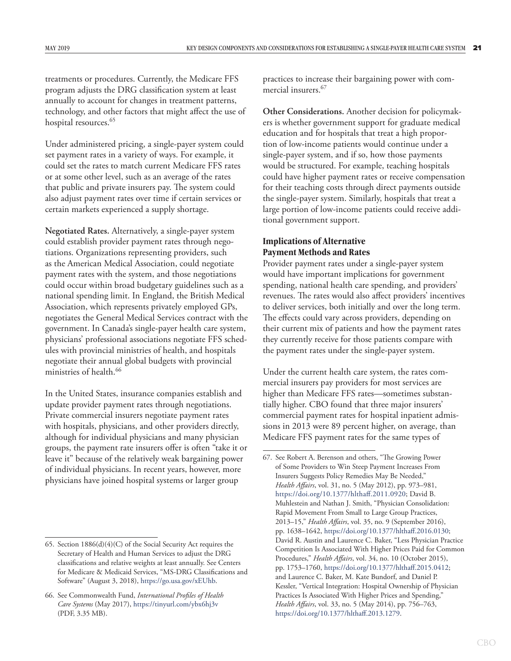<span id="page-24-0"></span>treatments or procedures. Currently, the Medicare FFS program adjusts the DRG classification system at least annually to account for changes in treatment patterns, technology, and other factors that might affect the use of hospital resources.<sup>65</sup>

Under administered pricing, a single-payer system could set payment rates in a variety of ways. For example, it could set the rates to match current Medicare FFS rates or at some other level, such as an average of the rates that public and private insurers pay. The system could also adjust payment rates over time if certain services or certain markets experienced a supply shortage.

**Negotiated Rates.** Alternatively, a single-payer system could establish provider payment rates through negotiations. Organizations representing providers, such as the American Medical Association, could negotiate payment rates with the system, and those negotiations could occur within broad budgetary guidelines such as a national spending limit. In England, the British Medical Association, which represents privately employed GPs, negotiates the General Medical Services contract with the government. In Canada's single-payer health care system, physicians' professional associations negotiate FFS schedules with provincial ministries of health, and hospitals negotiate their annual global budgets with provincial ministries of health.<sup>66</sup>

In the United States, insurance companies establish and update provider payment rates through negotiations. Private commercial insurers negotiate payment rates with hospitals, physicians, and other providers directly, although for individual physicians and many physician groups, the payment rate insurers offer is often "take it or leave it" because of the relatively weak bargaining power of individual physicians. In recent years, however, more physicians have joined hospital systems or larger group

practices to increase their bargaining power with commercial insurers.<sup>67</sup>

**Other Considerations.** Another decision for policymakers is whether government support for graduate medical education and for hospitals that treat a high proportion of low-income patients would continue under a single-payer system, and if so, how those payments would be structured. For example, teaching hospitals could have higher payment rates or receive compensation for their teaching costs through direct payments outside the single-payer system. Similarly, hospitals that treat a large portion of low-income patients could receive additional government support.

## **Implications of Alternative Payment Methods and Rates**

Provider payment rates under a single-payer system would have important implications for government spending, national health care spending, and providers' revenues. The rates would also affect providers' incentives to deliver services, both initially and over the long term. The effects could vary across providers, depending on their current mix of patients and how the payment rates they currently receive for those patients compare with the payment rates under the single-payer system.

Under the current health care system, the rates commercial insurers pay providers for most services are higher than Medicare FFS rates—sometimes substantially higher. CBO found that three major insurers' commercial payment rates for hospital inpatient admissions in 2013 were 89 percent higher, on average, than Medicare FFS payment rates for the same types of

<sup>65.</sup> Section 1886(d)(4)(C) of the Social Security Act requires the Secretary of Health and Human Services to adjust the DRG classifications and relative weights at least annually. See Centers for Medicare & Medicaid Services, "MS-DRG Classifications and Software" (August 3, 2018), <https://go.usa.gov/xEUhb>.

<sup>66.</sup> See Commonwealth Fund, *International Profiles of Health Care Systems* (May 2017), <https://tinyurl.com/ybx6hj3v> (PDF, 3.35 MB).

<sup>67.</sup> See Robert A. Berenson and others, "The Growing Power of Some Providers to Win Steep Payment Increases From Insurers Suggests Policy Remedies May Be Needed," *Health Affairs*, vol. 31, no. 5 (May 2012), pp. 973–981, <https://doi.org/10.1377/hlthaff.2011.0920>; David B. Muhlestein and Nathan J. Smith, "Physician Consolidation: Rapid Movement From Small to Large Group Practices, 2013–15," *Health Affairs*, vol. 35, no. 9 (September 2016), pp. 1638–1642, [https://doi.org/10.1377/hlthaff.2016.0130;](https://doi.org/10.1377/hlthaff.2016.0130) David R. Austin and Laurence C. Baker, "Less Physician Practice Competition Is Associated With Higher Prices Paid for Common Procedures," *Health Affairs*, vol. 34, no. 10 (October 2015), pp. 1753–1760, [https://doi.org/10.1377/hlthaff.2015.0412;](https://doi.org/10.1377/hlthaff.2015.0412) and Laurence C. Baker, M. Kate Bundorf, and Daniel P. Kessler, "Vertical Integration: Hospital Ownership of Physician Practices Is Associated With Higher Prices and Spending," *Health Affairs*, vol. 33, no. 5 (May 2014), pp. 756–763, <https://doi.org/10.1377/hlthaff.2013.1279>.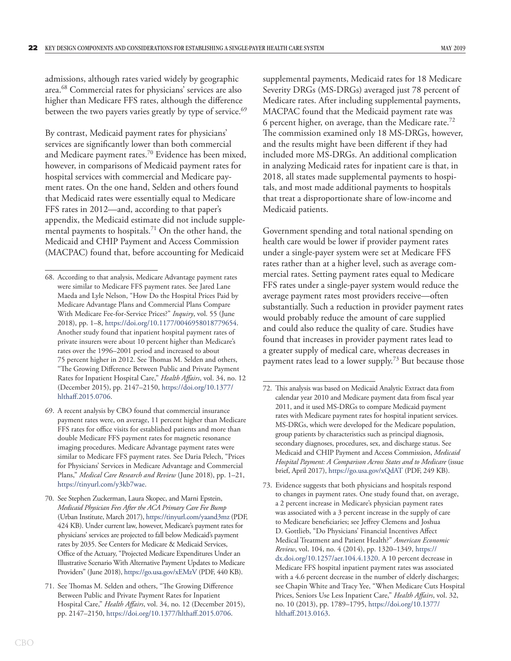admissions, although rates varied widely by geographic area.68 Commercial rates for physicians' services are also higher than Medicare FFS rates, although the difference between the two payers varies greatly by type of service.<sup>69</sup>

By contrast, Medicaid payment rates for physicians' services are significantly lower than both commercial and Medicare payment rates.<sup>70</sup> Evidence has been mixed, however, in comparisons of Medicaid payment rates for hospital services with commercial and Medicare payment rates. On the one hand, Selden and others found that Medicaid rates were essentially equal to Medicare FFS rates in 2012—and, according to that paper's appendix, the Medicaid estimate did not include supplemental payments to hospitals.<sup>71</sup> On the other hand, the Medicaid and CHIP Payment and Access Commission (MACPAC) found that, before accounting for Medicaid

supplemental payments, Medicaid rates for 18 Medicare Severity DRGs (MS-DRGs) averaged just 78 percent of Medicare rates. After including supplemental payments, MACPAC found that the Medicaid payment rate was 6 percent higher, on average, than the Medicare rate.72 The commission examined only 18 MS-DRGs, however, and the results might have been different if they had included more MS-DRGs. An additional complication in analyzing Medicaid rates for inpatient care is that, in 2018, all states made supplemental payments to hospitals, and most made additional payments to hospitals that treat a disproportionate share of low-income and Medicaid patients.

Government spending and total national spending on health care would be lower if provider payment rates under a single-payer system were set at Medicare FFS rates rather than at a higher level, such as average commercial rates. Setting payment rates equal to Medicare FFS rates under a single-payer system would reduce the average payment rates most providers receive—often substantially. Such a reduction in provider payment rates would probably reduce the amount of care supplied and could also reduce the quality of care. Studies have found that increases in provider payment rates lead to a greater supply of medical care, whereas decreases in payment rates lead to a lower supply.<sup>73</sup> But because those

<sup>68.</sup> According to that analysis, Medicare Advantage payment rates were similar to Medicare FFS payment rates. See Jared Lane Maeda and Lyle Nelson, "How Do the Hospital Prices Paid by Medicare Advantage Plans and Commercial Plans Compare With Medicare Fee-for-Service Prices?" *Inquiry*, vol. 55 (June 2018), pp. 1–8, [https://doi.org/10.1177/0046958018779654.](https://doi.org/10.1177%2F0046958018779654) Another study found that inpatient hospital payment rates of private insurers were about 10 percent higher than Medicare's rates over the 1996–2001 period and increased to about 75 percent higher in 2012. See Thomas M. Selden and others, "The Growing Difference Between Public and Private Payment Rates for Inpatient Hospital Care," *Health Affairs*, vol. 34, no. 12 (December 2015), pp. 2147–2150, [https://doi.org/10.1377/](https://doi.org/10.1377/hlthaff.2015.0706) [hlthaff.2015.0706](https://doi.org/10.1377/hlthaff.2015.0706).

<sup>69.</sup> A recent analysis by CBO found that commercial insurance payment rates were, on average, 11 percent higher than Medicare FFS rates for office visits for established patients and more than double Medicare FFS payment rates for magnetic resonance imaging procedures. Medicare Advantage payment rates were similar to Medicare FFS payment rates. See Daria Pelech, "Prices for Physicians' Services in Medicare Advantage and Commercial Plans," *Medical Care Research and Review* (June 2018), pp. 1–21, <https://tinyurl.com/y3kb7wae>.

<sup>70.</sup> See Stephen Zuckerman, Laura Skopec, and Marni Epstein, *Medicaid Physician Fees After the ACA Primary Care Fee Bump* (Urban Institute, March 2017),<https://tinyurl.com/yaand3mz> (PDF, 424 KB). Under current law, however, Medicare's payment rates for physicians' services are projected to fall below Medicaid's payment rates by 2035. See Centers for Medicare & Medicaid Services, Office of the Actuary, "Projected Medicare Expenditures Under an Illustrative Scenario With Alternative Payment Updates to Medicare Providers" (June 2018), <https://go.usa.gov/xEMzV> (PDF, 440 KB).

<sup>71.</sup> See Thomas M. Selden and others, "The Growing Difference Between Public and Private Payment Rates for Inpatient Hospital Care," *Health Affairs*, vol. 34, no. 12 (December 2015), pp. 2147–2150, [https://doi.org/10.1377/hlthaff.2015.0706.](https://doi.org/10.1377/hlthaff.2015.0706)

<sup>72.</sup> This analysis was based on Medicaid Analytic Extract data from calendar year 2010 and Medicare payment data from fiscal year 2011, and it used MS-DRGs to compare Medicaid payment rates with Medicare payment rates for hospital inpatient services. MS-DRGs, which were developed for the Medicare population, group patients by characteristics such as principal diagnosis, secondary diagnoses, procedures, sex, and discharge status. See Medicaid and CHIP Payment and Access Commission, *Medicaid Hospital Payment: A Comparison Across States and to Medicare* (issue brief, April 2017), <https://go.usa.gov/xQdAT>(PDF, 249 KB).

<sup>73.</sup> Evidence suggests that both physicians and hospitals respond to changes in payment rates. One study found that, on average, a 2 percent increase in Medicare's physician payment rates was associated with a 3 percent increase in the supply of care to Medicare beneficiaries; see Jeffrey Clemens and Joshua D. Gottlieb, "Do Physicians' Financial Incentives Affect Medical Treatment and Patient Health?" *American Economic Review*, vol. 104, no. 4 (2014), pp. 1320–1349, [https://](https://dx.doi.org/10.1257/aer.104.4.1320) [dx.doi.org/10.1257/aer.104.4.1320](https://dx.doi.org/10.1257/aer.104.4.1320). A 10 percent decrease in Medicare FFS hospital inpatient payment rates was associated with a 4.6 percent decrease in the number of elderly discharges; see Chapin White and Tracy Yee, "When Medicare Cuts Hospital Prices, Seniors Use Less Inpatient Care," *Health Affairs*, vol. 32, no. 10 (2013), pp. 1789–1795, [https://doi.org/10.1377/](https://doi.org/10.1377/hlthaff.2013.0163) [hlthaff.2013.0163](https://doi.org/10.1377/hlthaff.2013.0163).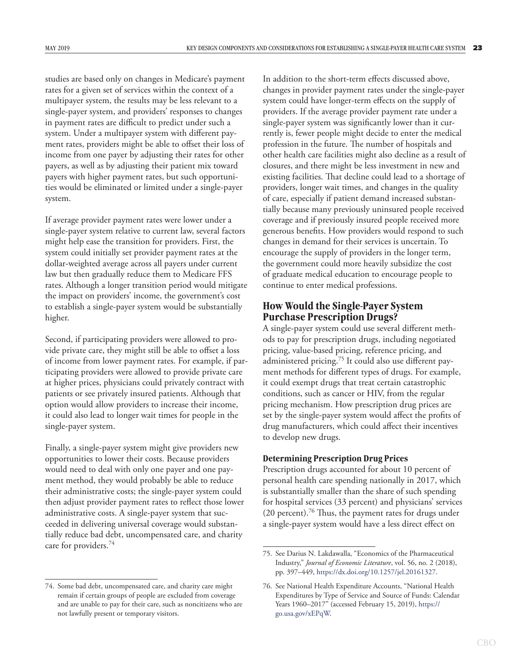<span id="page-26-0"></span>studies are based only on changes in Medicare's payment rates for a given set of services within the context of a multipayer system, the results may be less relevant to a single-payer system, and providers' responses to changes in payment rates are difficult to predict under such a system. Under a multipayer system with different payment rates, providers might be able to offset their loss of income from one payer by adjusting their rates for other payers, as well as by adjusting their patient mix toward payers with higher payment rates, but such opportunities would be eliminated or limited under a single-payer system.

If average provider payment rates were lower under a single-payer system relative to current law, several factors might help ease the transition for providers. First, the system could initially set provider payment rates at the dollar-weighted average across all payers under current law but then gradually reduce them to Medicare FFS rates. Although a longer transition period would mitigate the impact on providers' income, the government's cost to establish a single-payer system would be substantially higher.

Second, if participating providers were allowed to provide private care, they might still be able to offset a loss of income from lower payment rates. For example, if participating providers were allowed to provide private care at higher prices, physicians could privately contract with patients or see privately insured patients. Although that option would allow providers to increase their income, it could also lead to longer wait times for people in the single-payer system.

Finally, a single-payer system might give providers new opportunities to lower their costs. Because providers would need to deal with only one payer and one payment method, they would probably be able to reduce their administrative costs; the single-payer system could then adjust provider payment rates to reflect those lower administrative costs. A single-payer system that succeeded in delivering universal coverage would substantially reduce bad debt, uncompensated care, and charity care for providers.74

In addition to the short-term effects discussed above, changes in provider payment rates under the single-payer system could have longer-term effects on the supply of providers. If the average provider payment rate under a single-payer system was significantly lower than it currently is, fewer people might decide to enter the medical profession in the future. The number of hospitals and other health care facilities might also decline as a result of closures, and there might be less investment in new and existing facilities. That decline could lead to a shortage of providers, longer wait times, and changes in the quality of care, especially if patient demand increased substantially because many previously uninsured people received coverage and if previously insured people received more generous benefits. How providers would respond to such changes in demand for their services is uncertain. To encourage the supply of providers in the longer term, the government could more heavily subsidize the cost of graduate medical education to encourage people to continue to enter medical professions.

# **How Would the Single-Payer System Purchase Prescription Drugs?**

A single-payer system could use several different methods to pay for prescription drugs, including negotiated pricing, value-based pricing, reference pricing, and administered pricing.75 It could also use different payment methods for different types of drugs. For example, it could exempt drugs that treat certain catastrophic conditions, such as cancer or HIV, from the regular pricing mechanism. How prescription drug prices are set by the single-payer system would affect the profits of drug manufacturers, which could affect their incentives to develop new drugs.

#### **Determining Prescription Drug Prices**

Prescription drugs accounted for about 10 percent of personal health care spending nationally in 2017, which is substantially smaller than the share of such spending for hospital services (33 percent) and physicians' services (20 percent).<sup>76</sup> Thus, the payment rates for drugs under a single-payer system would have a less direct effect on

<sup>74.</sup> Some bad debt, uncompensated care, and charity care might remain if certain groups of people are excluded from coverage and are unable to pay for their care, such as noncitizens who are not lawfully present or temporary visitors.

<sup>75.</sup> See Darius N. Lakdawalla, "Economics of the Pharmaceutical Industry," *Journal of Economic Literature*, vol. 56, no. 2 (2018), pp. 397–449,<https://dx.doi.org/10.1257/jel.20161327>.

<sup>76.</sup> See National Health Expenditure Accounts, "National Health Expenditures by Type of Service and Source of Funds: Calendar Years 1960–2017" (accessed February 15, 2019), [https://](https://go.usa.gov/xEPqW) [go.usa.gov/xEPqW](https://go.usa.gov/xEPqW).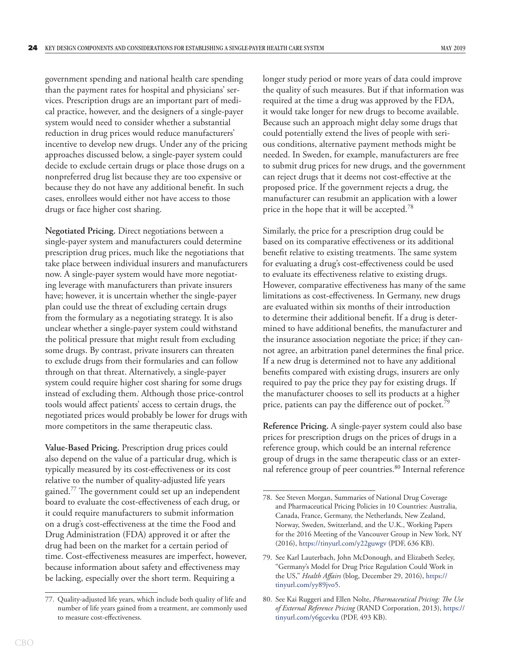government spending and national health care spending than the payment rates for hospital and physicians' services. Prescription drugs are an important part of medical practice, however, and the designers of a single-payer system would need to consider whether a substantial reduction in drug prices would reduce manufacturers' incentive to develop new drugs. Under any of the pricing approaches discussed below, a single-payer system could decide to exclude certain drugs or place those drugs on a nonpreferred drug list because they are too expensive or because they do not have any additional benefit. In such cases, enrollees would either not have access to those drugs or face higher cost sharing.

**Negotiated Pricing.** Direct negotiations between a single-payer system and manufacturers could determine prescription drug prices, much like the negotiations that take place between individual insurers and manufacturers now. A single-payer system would have more negotiating leverage with manufacturers than private insurers have; however, it is uncertain whether the single-payer plan could use the threat of excluding certain drugs from the formulary as a negotiating strategy. It is also unclear whether a single-payer system could withstand the political pressure that might result from excluding some drugs. By contrast, private insurers can threaten to exclude drugs from their formularies and can follow through on that threat. Alternatively, a single-payer system could require higher cost sharing for some drugs instead of excluding them. Although those price-control tools would affect patients' access to certain drugs, the negotiated prices would probably be lower for drugs with more competitors in the same therapeutic class.

**Value-Based Pricing.** Prescription drug prices could also depend on the value of a particular drug, which is typically measured by its cost-effectiveness or its cost relative to the number of quality-adjusted life years gained.77 The government could set up an independent board to evaluate the cost-effectiveness of each drug, or it could require manufacturers to submit information on a drug's cost-effectiveness at the time the Food and Drug Administration (FDA) approved it or after the drug had been on the market for a certain period of time. Cost-effectiveness measures are imperfect, however, because information about safety and effectiveness may be lacking, especially over the short term. Requiring a

longer study period or more years of data could improve the quality of such measures. But if that information was required at the time a drug was approved by the FDA, it would take longer for new drugs to become available. Because such an approach might delay some drugs that could potentially extend the lives of people with serious conditions, alternative payment methods might be needed. In Sweden, for example, manufacturers are free to submit drug prices for new drugs, and the government can reject drugs that it deems not cost-effective at the proposed price. If the government rejects a drug, the manufacturer can resubmit an application with a lower price in the hope that it will be accepted.<sup>78</sup>

Similarly, the price for a prescription drug could be based on its comparative effectiveness or its additional benefit relative to existing treatments. The same system for evaluating a drug's cost-effectiveness could be used to evaluate its effectiveness relative to existing drugs. However, comparative effectiveness has many of the same limitations as cost-effectiveness. In Germany, new drugs are evaluated within six months of their introduction to determine their additional benefit. If a drug is determined to have additional benefits, the manufacturer and the insurance association negotiate the price; if they cannot agree, an arbitration panel determines the final price. If a new drug is determined not to have any additional benefits compared with existing drugs, insurers are only required to pay the price they pay for existing drugs. If the manufacturer chooses to sell its products at a higher price, patients can pay the difference out of pocket.<sup>79</sup>

**Reference Pricing.** A single-payer system could also base prices for prescription drugs on the prices of drugs in a reference group, which could be an internal reference group of drugs in the same therapeutic class or an external reference group of peer countries.<sup>80</sup> Internal reference

<sup>77.</sup> Quality-adjusted life years, which include both quality of life and number of life years gained from a treatment, are commonly used to measure cost-effectiveness.

<sup>78.</sup> See Steven Morgan, Summaries of National Drug Coverage and Pharmaceutical Pricing Policies in 10 Countries: Australia, Canada, France, Germany, the Netherlands, New Zealand, Norway, Sweden, Switzerland, and the U.K., Working Papers for the 2016 Meeting of the Vancouver Group in New York, NY (2016),<https://tinyurl.com/y22guwgv> (PDF, 636 KB).

<sup>79.</sup> See Karl Lauterbach, John McDonough, and Elizabeth Seeley, "Germany's Model for Drug Price Regulation Could Work in the US," *Health Affairs* (blog, December 29, 2016), [https://](https://tinyurl.com/yy89jvo5) [tinyurl.com/yy89jvo5.](https://tinyurl.com/yy89jvo5)

<sup>80.</sup> See Kai Ruggeri and Ellen Nolte, *Pharmaceutical Pricing: The Use of External Reference Pricing* (RAND Corporation, 2013), [https://](https://tinyurl.com/y6gcevku) [tinyurl.com/y6gcevku](https://tinyurl.com/y6gcevku) (PDF, 493 KB).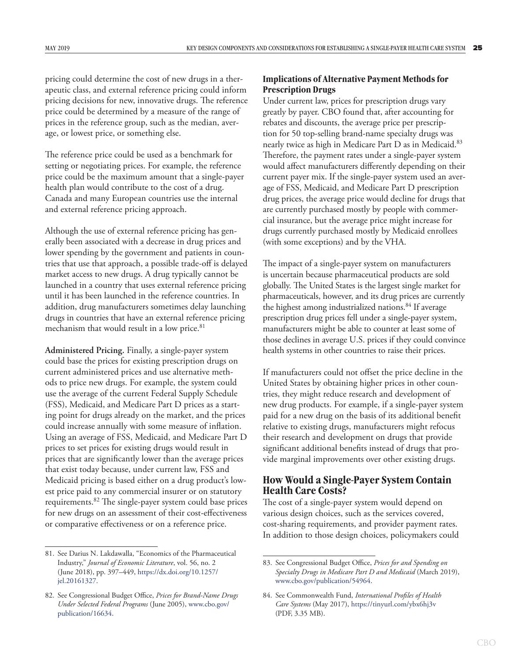<span id="page-28-0"></span>pricing could determine the cost of new drugs in a therapeutic class, and external reference pricing could inform pricing decisions for new, innovative drugs. The reference price could be determined by a measure of the range of prices in the reference group, such as the median, average, or lowest price, or something else.

The reference price could be used as a benchmark for setting or negotiating prices. For example, the reference price could be the maximum amount that a single-payer health plan would contribute to the cost of a drug. Canada and many European countries use the internal and external reference pricing approach.

Although the use of external reference pricing has generally been associated with a decrease in drug prices and lower spending by the government and patients in countries that use that approach, a possible trade-off is delayed market access to new drugs. A drug typically cannot be launched in a country that uses external reference pricing until it has been launched in the reference countries. In addition, drug manufacturers sometimes delay launching drugs in countries that have an external reference pricing mechanism that would result in a low price.<sup>81</sup>

**Administered Pricing.** Finally, a single-payer system could base the prices for existing prescription drugs on current administered prices and use alternative methods to price new drugs. For example, the system could use the average of the current Federal Supply Schedule (FSS), Medicaid, and Medicare Part D prices as a starting point for drugs already on the market, and the prices could increase annually with some measure of inflation. Using an average of FSS, Medicaid, and Medicare Part D prices to set prices for existing drugs would result in prices that are significantly lower than the average prices that exist today because, under current law, FSS and Medicaid pricing is based either on a drug product's lowest price paid to any commercial insurer or on statutory requirements.82 The single-payer system could base prices for new drugs on an assessment of their cost-effectiveness or comparative effectiveness or on a reference price.

#### **Implications of Alternative Payment Methods for Prescription Drugs**

Under current law, prices for prescription drugs vary greatly by payer. CBO found that, after accounting for rebates and discounts, the average price per prescription for 50 top-selling brand-name specialty drugs was nearly twice as high in Medicare Part D as in Medicaid.<sup>83</sup> Therefore, the payment rates under a single-payer system would affect manufacturers differently depending on their current payer mix. If the single-payer system used an average of FSS, Medicaid, and Medicare Part D prescription drug prices, the average price would decline for drugs that are currently purchased mostly by people with commercial insurance, but the average price might increase for drugs currently purchased mostly by Medicaid enrollees (with some exceptions) and by the VHA.

The impact of a single-payer system on manufacturers is uncertain because pharmaceutical products are sold globally. The United States is the largest single market for pharmaceuticals, however, and its drug prices are currently the highest among industrialized nations.<sup>84</sup> If average prescription drug prices fell under a single-payer system, manufacturers might be able to counter at least some of those declines in average U.S. prices if they could convince health systems in other countries to raise their prices.

If manufacturers could not offset the price decline in the United States by obtaining higher prices in other countries, they might reduce research and development of new drug products. For example, if a single-payer system paid for a new drug on the basis of its additional benefit relative to existing drugs, manufacturers might refocus their research and development on drugs that provide significant additional benefits instead of drugs that provide marginal improvements over other existing drugs.

# **How Would a Single-Payer System Contain Health Care Costs?**

The cost of a single-payer system would depend on various design choices, such as the services covered, cost-sharing requirements, and provider payment rates. In addition to those design choices, policymakers could

<sup>81.</sup> See Darius N. Lakdawalla, "Economics of the Pharmaceutical Industry," *Journal of Economic Literature*, vol. 56, no. 2 (June 2018), pp. 397–449, [https://dx.doi.org/10.1257/](https://dx.doi.org/10.1257/jel.20161327) [jel.20161327](https://dx.doi.org/10.1257/jel.20161327).

<sup>82.</sup> See Congressional Budget Office, *Prices for Brand-Name Drugs Under Selected Federal Programs* (June 2005), [www.cbo.gov/](http://www.cbo.gov/publication/16634) [publication/16634](http://www.cbo.gov/publication/16634).

<sup>83.</sup> See Congressional Budget Office, *Prices for and Spending on Specialty Drugs in Medicare Part D and Medicaid* (March 2019), [www.cbo.gov/publication/54964](https://www.cbo.gov/publication/54964).

<sup>84.</sup> See Commonwealth Fund, *International Profiles of Health Care Systems* (May 2017), <https://tinyurl.com/ybx6hj3v> (PDF, 3.35 MB).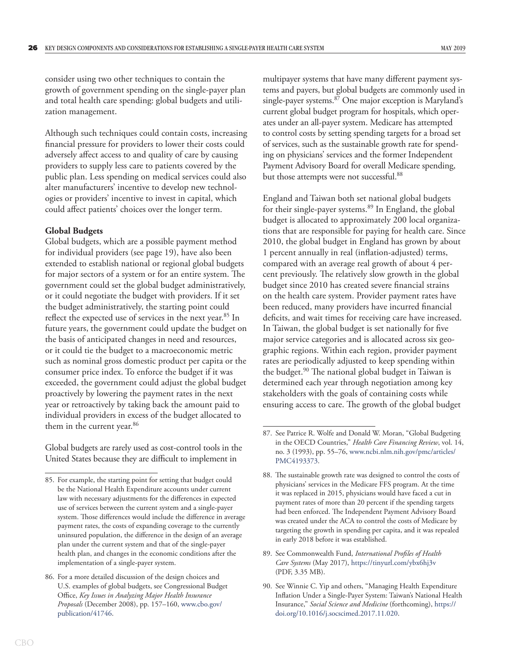<span id="page-29-0"></span>consider using two other techniques to contain the growth of government spending on the single-payer plan and total health care spending: global budgets and utilization management.

Although such techniques could contain costs, increasing financial pressure for providers to lower their costs could adversely affect access to and quality of care by causing providers to supply less care to patients covered by the public plan. Less spending on medical services could also alter manufacturers' incentive to develop new technologies or providers' incentive to invest in capital, which could affect patients' choices over the longer term.

#### **Global Budgets**

Global budgets, which are a possible payment method for individual providers (see page 19), have also been extended to establish national or regional global budgets for major sectors of a system or for an entire system. The government could set the global budget administratively, or it could negotiate the budget with providers. If it set the budget administratively, the starting point could reflect the expected use of services in the next year.<sup>85</sup> In future years, the government could update the budget on the basis of anticipated changes in need and resources, or it could tie the budget to a macroeconomic metric such as nominal gross domestic product per capita or the consumer price index. To enforce the budget if it was exceeded, the government could adjust the global budget proactively by lowering the payment rates in the next year or retroactively by taking back the amount paid to individual providers in excess of the budget allocated to them in the current year.<sup>86</sup>

Global budgets are rarely used as cost-control tools in the United States because they are difficult to implement in

multipayer systems that have many different payment systems and payers, but global budgets are commonly used in single-payer systems.<sup>87</sup> One major exception is Maryland's current global budget program for hospitals, which operates under an all-payer system. Medicare has attempted to control costs by setting spending targets for a broad set of services, such as the sustainable growth rate for spending on physicians' services and the former Independent Payment Advisory Board for overall Medicare spending, but those attempts were not successful.<sup>88</sup>

England and Taiwan both set national global budgets for their single-payer systems.<sup>89</sup> In England, the global budget is allocated to approximately 200 local organizations that are responsible for paying for health care. Since 2010, the global budget in England has grown by about 1 percent annually in real (inflation-adjusted) terms, compared with an average real growth of about 4 percent previously. The relatively slow growth in the global budget since 2010 has created severe financial strains on the health care system. Provider payment rates have been reduced, many providers have incurred financial deficits, and wait times for receiving care have increased. In Taiwan, the global budget is set nationally for five major service categories and is allocated across six geographic regions. Within each region, provider payment rates are periodically adjusted to keep spending within the budget.<sup>90</sup> The national global budget in Taiwan is determined each year through negotiation among key stakeholders with the goals of containing costs while ensuring access to care. The growth of the global budget

<sup>85.</sup> For example, the starting point for setting that budget could be the National Health Expenditure accounts under current law with necessary adjustments for the differences in expected use of services between the current system and a single-payer system. Those differences would include the difference in average payment rates, the costs of expanding coverage to the currently uninsured population, the difference in the design of an average plan under the current system and that of the single-payer health plan, and changes in the economic conditions after the implementation of a single-payer system.

<sup>86.</sup> For a more detailed discussion of the design choices and U.S. examples of global budgets, see Congressional Budget Office, *Key Issues in Analyzing Major Health Insurance Proposals* (December 2008), pp. 157–160, [www.cbo.gov/](https://www.cbo.gov/publication/41746) [publication/41746](https://www.cbo.gov/publication/41746).

<sup>87.</sup> See Patrice R. Wolfe and Donald W. Moran, "Global Budgeting in the OECD Countries," *Health Care Financing Review*, vol. 14, no. 3 (1993), pp. 55–76, [www.ncbi.nlm.nih.gov/pmc/articles/](https://www.ncbi.nlm.nih.gov/pmc/articles/PMC4193373/) [PMC4193373.](https://www.ncbi.nlm.nih.gov/pmc/articles/PMC4193373/)

<sup>88.</sup> The sustainable growth rate was designed to control the costs of physicians' services in the Medicare FFS program. At the time it was replaced in 2015, physicians would have faced a cut in payment rates of more than 20 percent if the spending targets had been enforced. The Independent Payment Advisory Board was created under the ACA to control the costs of Medicare by targeting the growth in spending per capita, and it was repealed in early 2018 before it was established.

<sup>89.</sup> See Commonwealth Fund, *International Profiles of Health Care Systems* (May 2017), <https://tinyurl.com/ybx6hj3v> (PDF, 3.35 MB).

<sup>90.</sup> See Winnie C. Yip and others, "Managing Health Expenditure Inflation Under a Single-Payer System: Taiwan's National Health Insurance," *Social Science and Medicine* (forthcoming), [https://](https://doi.org/10.1016/j.socscimed.2017.11.020) [doi.org/10.1016/j.socscimed.2017.11.020.](https://doi.org/10.1016/j.socscimed.2017.11.020)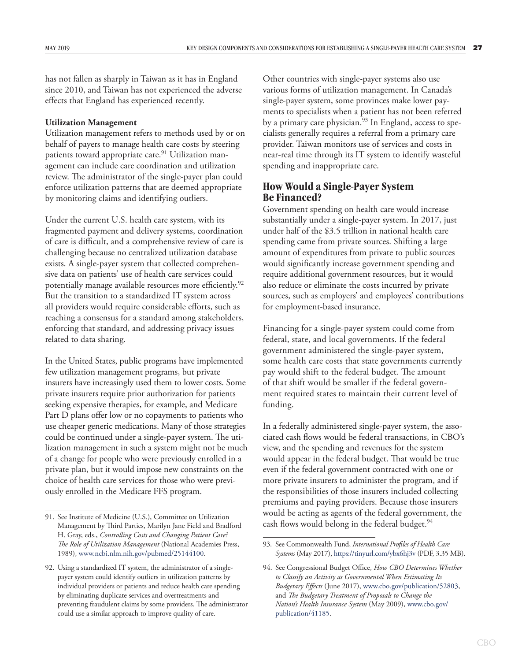<span id="page-30-0"></span>has not fallen as sharply in Taiwan as it has in England since 2010, and Taiwan has not experienced the adverse effects that England has experienced recently.

#### **Utilization Management**

Utilization management refers to methods used by or on behalf of payers to manage health care costs by steering patients toward appropriate care.<sup>91</sup> Utilization management can include care coordination and utilization review. The administrator of the single-payer plan could enforce utilization patterns that are deemed appropriate by monitoring claims and identifying outliers.

Under the current U.S. health care system, with its fragmented payment and delivery systems, coordination of care is difficult, and a comprehensive review of care is challenging because no centralized utilization database exists. A single-payer system that collected comprehensive data on patients' use of health care services could potentially manage available resources more efficiently.<sup>92</sup> But the transition to a standardized IT system across all providers would require considerable efforts, such as reaching a consensus for a standard among stakeholders, enforcing that standard, and addressing privacy issues related to data sharing.

In the United States, public programs have implemented few utilization management programs, but private insurers have increasingly used them to lower costs. Some private insurers require prior authorization for patients seeking expensive therapies, for example, and Medicare Part D plans offer low or no copayments to patients who use cheaper generic medications. Many of those strategies could be continued under a single-payer system. The utilization management in such a system might not be much of a change for people who were previously enrolled in a private plan, but it would impose new constraints on the choice of health care services for those who were previously enrolled in the Medicare FFS program.

Other countries with single-payer systems also use various forms of utilization management. In Canada's single-payer system, some provinces make lower payments to specialists when a patient has not been referred by a primary care physician.<sup>93</sup> In England, access to specialists generally requires a referral from a primary care provider. Taiwan monitors use of services and costs in near-real time through its IT system to identify wasteful spending and inappropriate care.

# **How Would a Single-Payer System Be Financed?**

Government spending on health care would increase substantially under a single-payer system. In 2017, just under half of the \$3.5 trillion in national health care spending came from private sources. Shifting a large amount of expenditures from private to public sources would significantly increase government spending and require additional government resources, but it would also reduce or eliminate the costs incurred by private sources, such as employers' and employees' contributions for employment-based insurance.

Financing for a single-payer system could come from federal, state, and local governments. If the federal government administered the single-payer system, some health care costs that state governments currently pay would shift to the federal budget. The amount of that shift would be smaller if the federal government required states to maintain their current level of funding.

In a federally administered single-payer system, the associated cash flows would be federal transactions, in CBO's view, and the spending and revenues for the system would appear in the federal budget. That would be true even if the federal government contracted with one or more private insurers to administer the program, and if the responsibilities of those insurers included collecting premiums and paying providers. Because those insurers would be acting as agents of the federal government, the cash flows would belong in the federal budget.<sup>94</sup>

<sup>91.</sup> See Institute of Medicine (U.S.), Committee on Utilization Management by Third Parties, Marilyn Jane Field and Bradford H. Gray, eds., *Controlling Costs and Changing Patient Care? The Role of Utilization Management* (National Academies Press, 1989), [www.ncbi.nlm.nih.gov/pubmed/25144100](https://www.ncbi.nlm.nih.gov/pubmed/25144100).

<sup>92.</sup> Using a standardized IT system, the administrator of a singlepayer system could identify outliers in utilization patterns by individual providers or patients and reduce health care spending by eliminating duplicate services and overtreatments and preventing fraudulent claims by some providers. The administrator could use a similar approach to improve quality of care.

<sup>93.</sup> See Commonwealth Fund, *International Profiles of Health Care Systems* (May 2017),<https://tinyurl.com/ybx6hj3v> (PDF, 3.35 MB).

<sup>94.</sup> See Congressional Budget Office, *How CBO Determines Whether to Classify an Activity as Governmental When Estimating Its Budgetary Effects* (June 2017), [www.cbo.gov/publication/52803](https://www.cbo.gov/publication/52803), and *The Budgetary Treatment of Proposals to Change the Nation's Health Insurance System* (May 2009), [www.cbo.gov/](https://www.cbo.gov/publication/41185) [publication/41185](https://www.cbo.gov/publication/41185).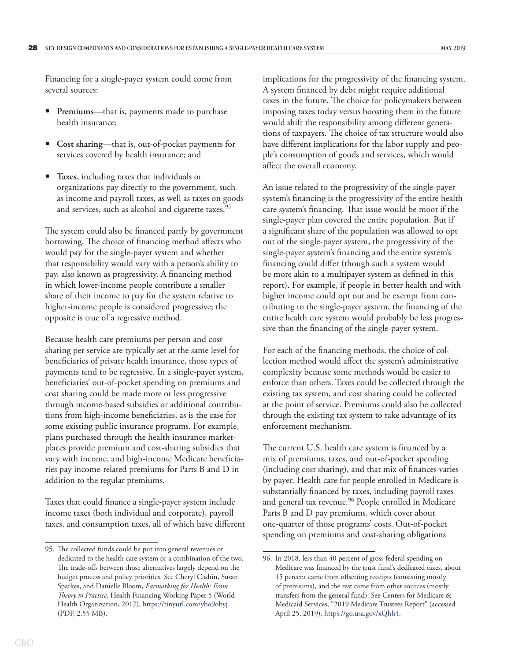Financing for a single-payer system could come from several sources:

- **Premiums**—that is, payments made to purchase health insurance;
- **Cost sharing**—that is, out-of-pocket payments for services covered by health insurance; and
- **Taxes**, including taxes that individuals or organizations pay directly to the government, such as income and payroll taxes, as well as taxes on goods and services, such as alcohol and cigarette taxes.<sup>95</sup>

The system could also be financed partly by government borrowing. The choice of financing method affects who would pay for the single-payer system and whether that responsibility would vary with a person's ability to pay, also known as progressivity. A financing method in which lower-income people contribute a smaller share of their income to pay for the system relative to higher-income people is considered progressive; the opposite is true of a regressive method.

Because health care premiums per person and cost sharing per service are typically set at the same level for beneficiaries of private health insurance, those types of payments tend to be regressive. In a single-payer system, beneficiaries' out-of-pocket spending on premiums and cost sharing could be made more or less progressive through income-based subsidies or additional contributions from high-income beneficiaries, as is the case for some existing public insurance programs. For example, plans purchased through the health insurance marketplaces provide premium and cost-sharing subsidies that vary with income, and high-income Medicare beneficiaries pay income-related premiums for Parts B and D in addition to the regular premiums.

Taxes that could finance a single-payer system include income taxes (both individual and corporate), payroll taxes, and consumption taxes, all of which have different implications for the progressivity of the financing system. A system financed by debt might require additional taxes in the future. The choice for policymakers between imposing taxes today versus boosting them in the future would shift the responsibility among different generations of taxpayers. The choice of tax structure would also have different implications for the labor supply and people's consumption of goods and services, which would affect the overall economy.

An issue related to the progressivity of the single-payer system's financing is the progressivity of the entire health care system's financing. That issue would be moot if the single-payer plan covered the entire population. But if a significant share of the population was allowed to opt out of the single-payer system, the progressivity of the single-payer system's financing and the entire system's financing could differ (though such a system would be more akin to a multipayer system as defined in this report). For example, if people in better health and with higher income could opt out and be exempt from contributing to the single-payer system, the financing of the entire health care system would probably be less progressive than the financing of the single-payer system.

For each of the financing methods, the choice of collection method would affect the system's administrative complexity because some methods would be easier to enforce than others. Taxes could be collected through the existing tax system, and cost sharing could be collected at the point of service. Premiums could also be collected through the existing tax system to take advantage of its enforcement mechanism.

The current U.S. health care system is financed by a mix of premiums, taxes, and out-of-pocket spending (including cost sharing), and that mix of finances varies by payer. Health care for people enrolled in Medicare is substantially financed by taxes, including payroll taxes and general tax revenue.<sup>96</sup> People enrolled in Medicare Parts B and D pay premiums, which cover about one-quarter of those programs' costs. Out-of-pocket spending on premiums and cost-sharing obligations

<sup>95.</sup> The collected funds could be put into general revenues or dedicated to the health care system or a combination of the two. The trade-offs between those alternatives largely depend on the budget process and policy priorities. See Cheryl Cashin, Susan Sparkes, and Danielle Bloom, *Earmarking for Health: From Theory to Practice*, Health Financing Working Paper 5 (World Health Organization, 2017),<https://tinyurl.com/ybo9obyj> (PDF, 2.55 MB).

<sup>96.</sup> In 2018, less than 40 percent of gross federal spending on Medicare was financed by the trust fund's dedicated taxes, about 15 percent came from offsetting receipts (consisting mostly of premiums), and the rest came from other sources (mostly transfers from the general fund). See Centers for Medicare & Medicaid Services, "2019 Medicare Trustees Report" (accessed April 25, 2019), <https://go.usa.gov/xQhh4>.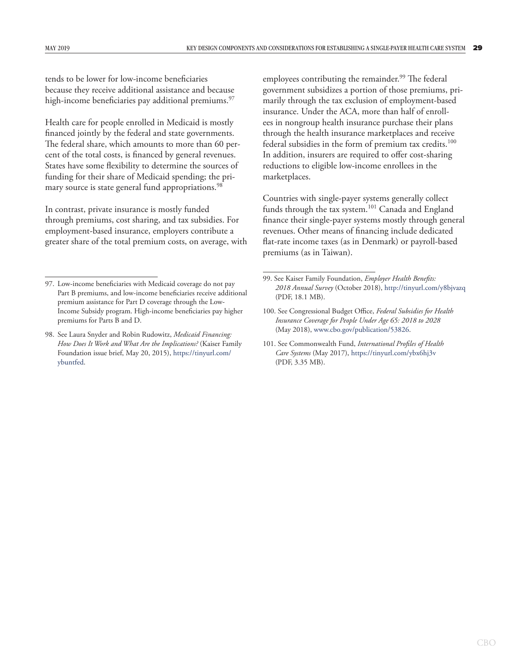tends to be lower for low-income beneficiaries because they receive additional assistance and because high-income beneficiaries pay additional premiums.<sup>97</sup>

Health care for people enrolled in Medicaid is mostly financed jointly by the federal and state governments. The federal share, which amounts to more than 60 percent of the total costs, is financed by general revenues. States have some flexibility to determine the sources of funding for their share of Medicaid spending; the primary source is state general fund appropriations.<sup>98</sup>

In contrast, private insurance is mostly funded through premiums, cost sharing, and tax subsidies. For employment-based insurance, employers contribute a greater share of the total premium costs, on average, with employees contributing the remainder.<sup>99</sup> The federal government subsidizes a portion of those premiums, primarily through the tax exclusion of employment-based insurance. Under the ACA, more than half of enrollees in nongroup health insurance purchase their plans through the health insurance marketplaces and receive federal subsidies in the form of premium tax credits.<sup>100</sup> In addition, insurers are required to offer cost-sharing reductions to eligible low-income enrollees in the marketplaces.

Countries with single-payer systems generally collect funds through the tax system.101 Canada and England finance their single-payer systems mostly through general revenues. Other means of financing include dedicated flat-rate income taxes (as in Denmark) or payroll-based premiums (as in Taiwan).

<sup>97.</sup> Low-income beneficiaries with Medicaid coverage do not pay Part B premiums, and low-income beneficiaries receive additional premium assistance for Part D coverage through the Low-Income Subsidy program. High-income beneficiaries pay higher premiums for Parts B and D.

<sup>98.</sup> See Laura Snyder and Robin Rudowitz, *Medicaid Financing: How Does It Work and What Are the Implications?* (Kaiser Family Foundation issue brief, May 20, 2015), [https://tinyurl.com/](https://tinyurl.com/ybuntfed) [ybuntfed](https://tinyurl.com/ybuntfed).

<sup>99.</sup> See Kaiser Family Foundation, *Employer Health Benefits: 2018 Annual Survey* (October 2018), <http://tinyurl.com/y8bjvazq> (PDF, 18.1 MB).

<sup>100.</sup> See [Congressional](file:///\\cbo.gov\shares\HHRD\HRDATA1\SHARED\Single-Payer\Draft\version%204%20to%20exec%20and%20external%20reviewers\Congressional) Budget Office, *Federal Subsidies for Health Insurance Coverage for People Under Age 65: 2018 to 2028*  (May 2018), [www.cbo.gov/publication/53826](https://www.cbo.gov/publication/53826).

<sup>101.</sup> See Commonwealth Fund, *International Profiles of Health Care Systems* (May 2017), <https://tinyurl.com/ybx6hj3v> (PDF, 3.35 MB).